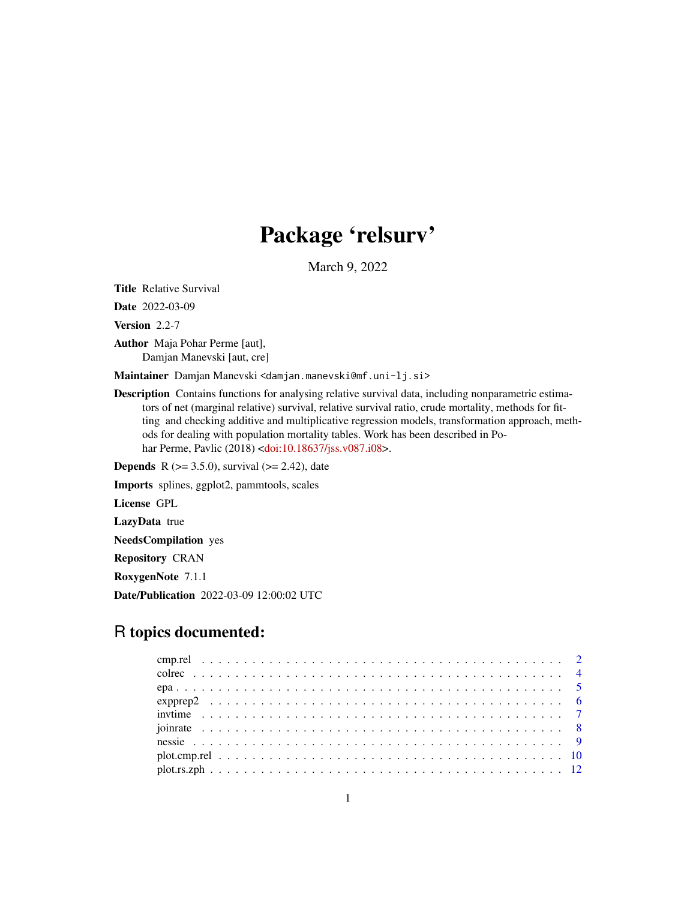# Package 'relsurv'

March 9, 2022

<span id="page-0-0"></span>Title Relative Survival

Date 2022-03-09

Version 2.2-7

Author Maja Pohar Perme [aut], Damjan Manevski [aut, cre]

Maintainer Damjan Manevski <damjan.manevski@mf.uni-lj.si>

Description Contains functions for analysing relative survival data, including nonparametric estimators of net (marginal relative) survival, relative survival ratio, crude mortality, methods for fitting and checking additive and multiplicative regression models, transformation approach, methods for dealing with population mortality tables. Work has been described in Po-har Perme, Pavlic (2018) [<doi:10.18637/jss.v087.i08>](https://doi.org/10.18637/jss.v087.i08).

**Depends** R ( $>= 3.5.0$ ), survival ( $>= 2.42$ ), date

Imports splines, ggplot2, pammtools, scales

License GPL

LazyData true

NeedsCompilation yes

Repository CRAN

RoxygenNote 7.1.1

Date/Publication 2022-03-09 12:00:02 UTC

# R topics documented: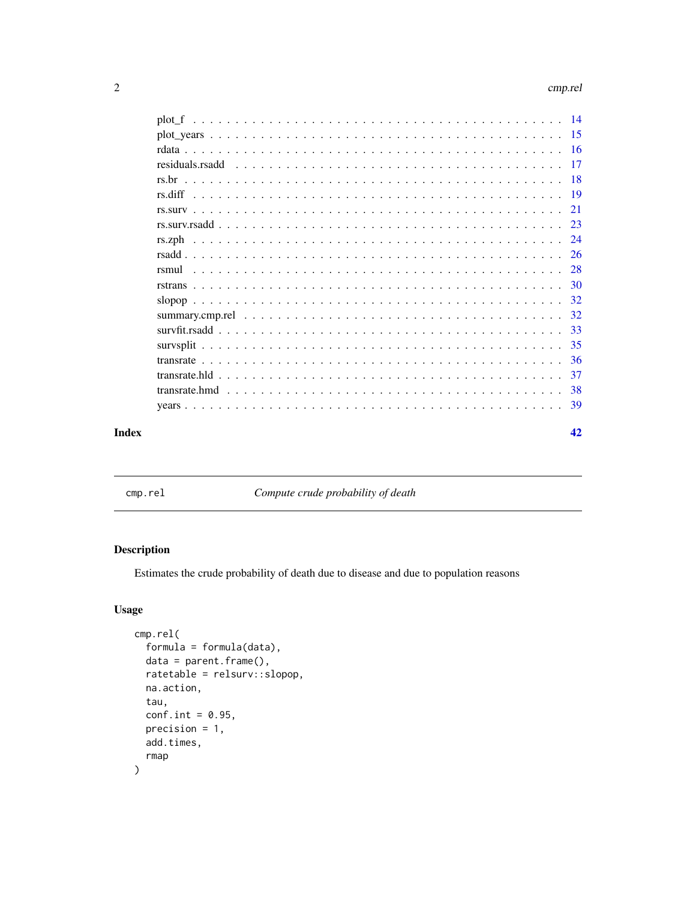#### <span id="page-1-0"></span>2 cmp.rel

| Index | 42 |
|-------|----|

cmp.rel *Compute crude probability of death*

# Description

Estimates the crude probability of death due to disease and due to population reasons

# Usage

```
cmp.rel(
 formula = formula(data),
 data = parent.frame(),
 ratetable = relsurv::slopop,
 na.action,
  tau,
 conf.int = 0.95,
 precision = 1,
 add.times,
  rmap
)
```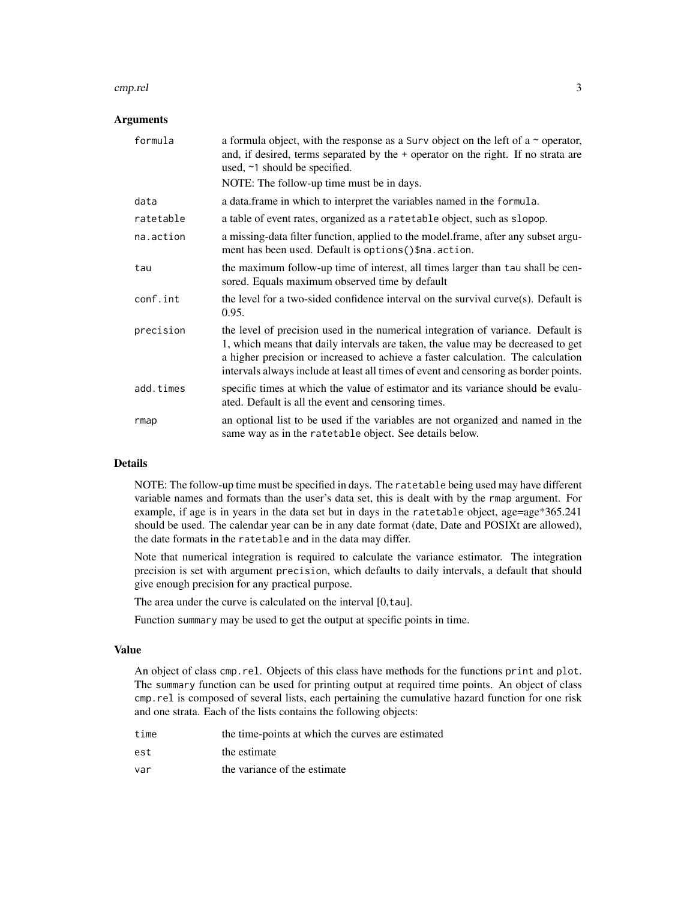#### cmp.rel 3

#### **Arguments**

| formula   | a formula object, with the response as a Surv object on the left of a $\sim$ operator,<br>and, if desired, terms separated by the + operator on the right. If no strata are<br>used, ~1 should be specified.                                                                                                                                     |
|-----------|--------------------------------------------------------------------------------------------------------------------------------------------------------------------------------------------------------------------------------------------------------------------------------------------------------------------------------------------------|
|           | NOTE: The follow-up time must be in days.                                                                                                                                                                                                                                                                                                        |
| data      | a data. frame in which to interpret the variables named in the formula.                                                                                                                                                                                                                                                                          |
| ratetable | a table of event rates, organized as a ratetable object, such as slopop.                                                                                                                                                                                                                                                                         |
| na.action | a missing-data filter function, applied to the model.frame, after any subset argu-<br>ment has been used. Default is options () \$na. action.                                                                                                                                                                                                    |
| tau       | the maximum follow-up time of interest, all times larger than tau shall be cen-<br>sored. Equals maximum observed time by default                                                                                                                                                                                                                |
| conf.int  | the level for a two-sided confidence interval on the survival curve(s). Default is<br>0.95.                                                                                                                                                                                                                                                      |
| precision | the level of precision used in the numerical integration of variance. Default is<br>1, which means that daily intervals are taken, the value may be decreased to get<br>a higher precision or increased to achieve a faster calculation. The calculation<br>intervals always include at least all times of event and censoring as border points. |
| add.times | specific times at which the value of estimator and its variance should be evalu-<br>ated. Default is all the event and censoring times.                                                                                                                                                                                                          |
| rmap      | an optional list to be used if the variables are not organized and named in the<br>same way as in the ratetable object. See details below.                                                                                                                                                                                                       |

# Details

NOTE: The follow-up time must be specified in days. The ratetable being used may have different variable names and formats than the user's data set, this is dealt with by the rmap argument. For example, if age is in years in the data set but in days in the ratetable object, age=age\*365.241 should be used. The calendar year can be in any date format (date, Date and POSIXt are allowed), the date formats in the ratetable and in the data may differ.

Note that numerical integration is required to calculate the variance estimator. The integration precision is set with argument precision, which defaults to daily intervals, a default that should give enough precision for any practical purpose.

The area under the curve is calculated on the interval [0,tau].

Function summary may be used to get the output at specific points in time.

### Value

An object of class cmp.rel. Objects of this class have methods for the functions print and plot. The summary function can be used for printing output at required time points. An object of class cmp.rel is composed of several lists, each pertaining the cumulative hazard function for one risk and one strata. Each of the lists contains the following objects:

| time | the time-points at which the curves are estimated |
|------|---------------------------------------------------|
| est  | the estimate                                      |
| var  | the variance of the estimate                      |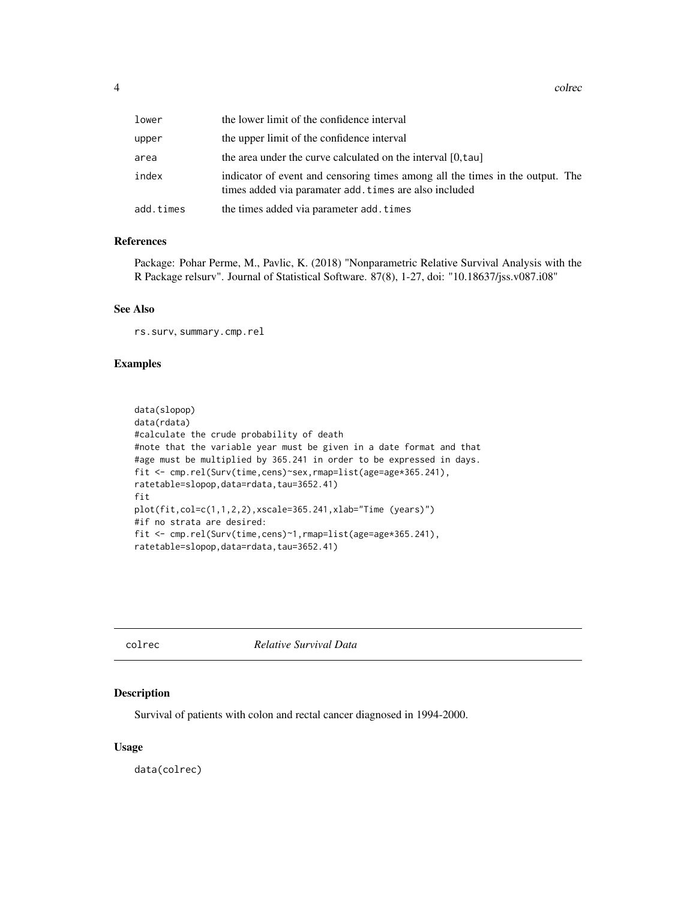<span id="page-3-0"></span>

| lower     | the lower limit of the confidence interval                                                                                              |
|-----------|-----------------------------------------------------------------------------------------------------------------------------------------|
| upper     | the upper limit of the confidence interval                                                                                              |
| area      | the area under the curve calculated on the interval [0, tau]                                                                            |
| index     | indicator of event and censoring times among all the times in the output. The<br>times added via paramater add. times are also included |
| add.times | the times added via parameter add. times                                                                                                |

#### References

Package: Pohar Perme, M., Pavlic, K. (2018) "Nonparametric Relative Survival Analysis with the R Package relsurv". Journal of Statistical Software. 87(8), 1-27, doi: "10.18637/jss.v087.i08"

#### See Also

rs.surv, summary.cmp.rel

# Examples

```
data(slopop)
data(rdata)
#calculate the crude probability of death
#note that the variable year must be given in a date format and that
#age must be multiplied by 365.241 in order to be expressed in days.
fit <- cmp.rel(Surv(time,cens)~sex,rmap=list(age=age*365.241),
ratetable=slopop,data=rdata,tau=3652.41)
fit
plot(fit,col=c(1,1,2,2),xscale=365.241,xlab="Time (years)")
#if no strata are desired:
fit <- cmp.rel(Surv(time,cens)~1,rmap=list(age=age*365.241),
ratetable=slopop,data=rdata,tau=3652.41)
```
colrec *Relative Survival Data*

### Description

Survival of patients with colon and rectal cancer diagnosed in 1994-2000.

#### Usage

data(colrec)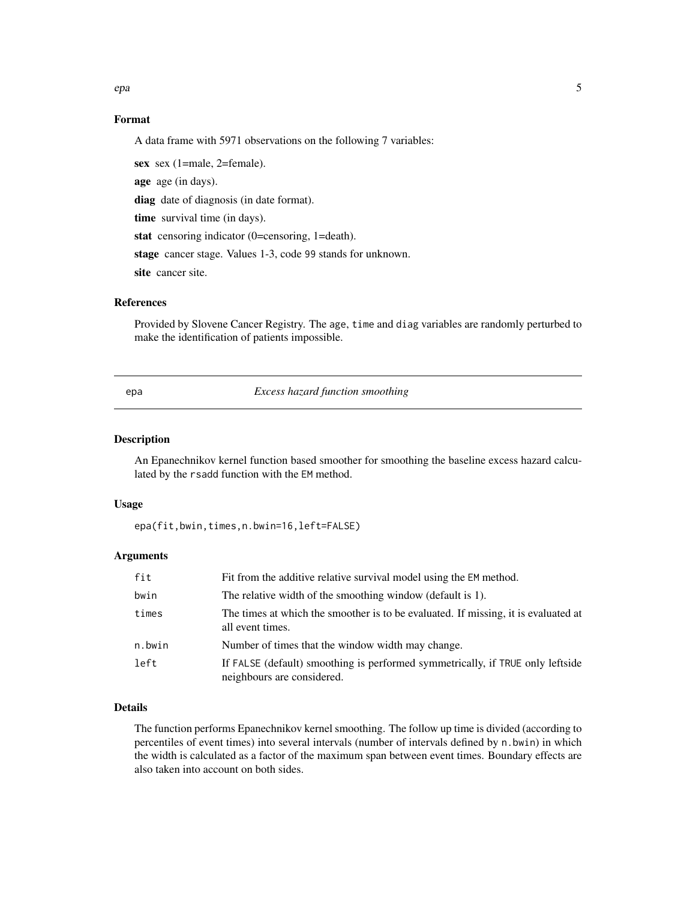<span id="page-4-0"></span>epa 5

#### Format

A data frame with 5971 observations on the following 7 variables:

sex sex (1=male, 2=female). age age (in days). diag date of diagnosis (in date format). time survival time (in days). stat censoring indicator (0=censoring, 1=death). stage cancer stage. Values 1-3, code 99 stands for unknown. site cancer site.

#### References

Provided by Slovene Cancer Registry. The age, time and diag variables are randomly perturbed to make the identification of patients impossible.

epa *Excess hazard function smoothing*

# Description

An Epanechnikov kernel function based smoother for smoothing the baseline excess hazard calculated by the rsadd function with the EM method.

#### Usage

epa(fit,bwin,times,n.bwin=16,left=FALSE)

# Arguments

| fit    | Fit from the additive relative survival model using the EM method.                                           |
|--------|--------------------------------------------------------------------------------------------------------------|
| bwin   | The relative width of the smoothing window (default is 1).                                                   |
| times  | The times at which the smoother is to be evaluated. If missing, it is evaluated at<br>all event times.       |
| n.bwin | Number of times that the window width may change.                                                            |
| left   | If FALSE (default) smoothing is performed symmetrically, if TRUE only leftside<br>neighbours are considered. |

### Details

The function performs Epanechnikov kernel smoothing. The follow up time is divided (according to percentiles of event times) into several intervals (number of intervals defined by n.bwin) in which the width is calculated as a factor of the maximum span between event times. Boundary effects are also taken into account on both sides.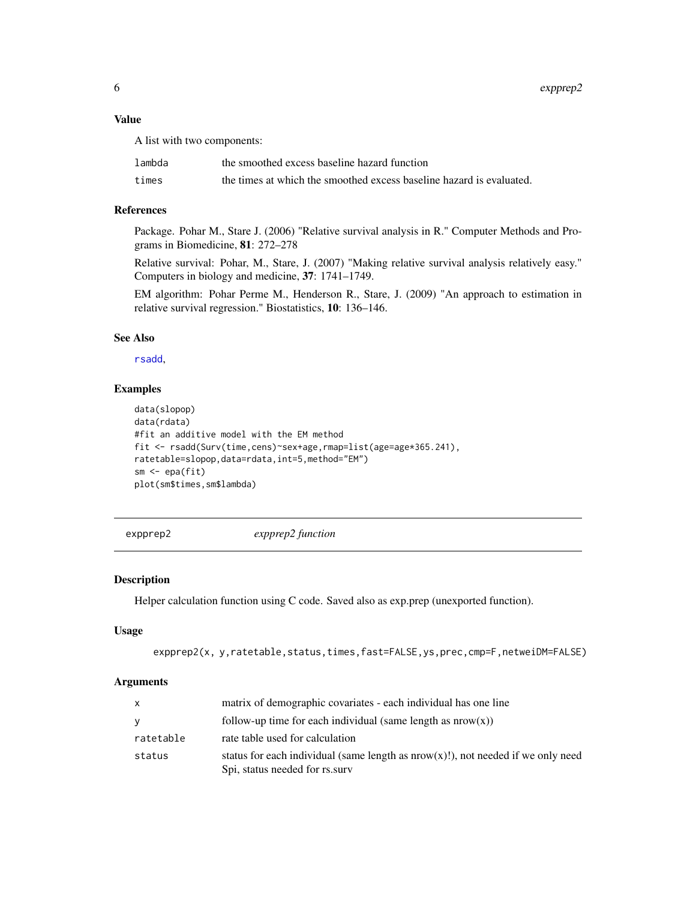### <span id="page-5-0"></span>Value

A list with two components:

| lambda | the smoothed excess baseline hazard function                         |
|--------|----------------------------------------------------------------------|
| times  | the times at which the smoothed excess baseline hazard is evaluated. |

#### References

Package. Pohar M., Stare J. (2006) "Relative survival analysis in R." Computer Methods and Programs in Biomedicine, 81: 272–278

Relative survival: Pohar, M., Stare, J. (2007) "Making relative survival analysis relatively easy." Computers in biology and medicine, 37: 1741–1749.

EM algorithm: Pohar Perme M., Henderson R., Stare, J. (2009) "An approach to estimation in relative survival regression." Biostatistics, 10: 136–146.

#### See Also

[rsadd](#page-25-1),

# Examples

```
data(slopop)
data(rdata)
#fit an additive model with the EM method
fit <- rsadd(Surv(time,cens)~sex+age,rmap=list(age=age*365.241),
ratetable=slopop,data=rdata,int=5,method="EM")
sm \leftarrow epa(fit)plot(sm$times,sm$lambda)
```
expprep2 *expprep2 function*

### Description

Helper calculation function using C code. Saved also as exp.prep (unexported function).

# Usage

```
expprep2(x, y,ratetable,status,times,fast=FALSE,ys,prec,cmp=F,netweiDM=FALSE)
```

| $\mathsf{x}$ | matrix of demographic covariates - each individual has one line                                                       |
|--------------|-----------------------------------------------------------------------------------------------------------------------|
| <b>y</b>     | follow-up time for each individual (same length as $nrow(x)$ )                                                        |
| ratetable    | rate table used for calculation                                                                                       |
| status       | status for each individual (same length as $nrow(x)!$ ), not needed if we only need<br>Spi, status needed for rs.surv |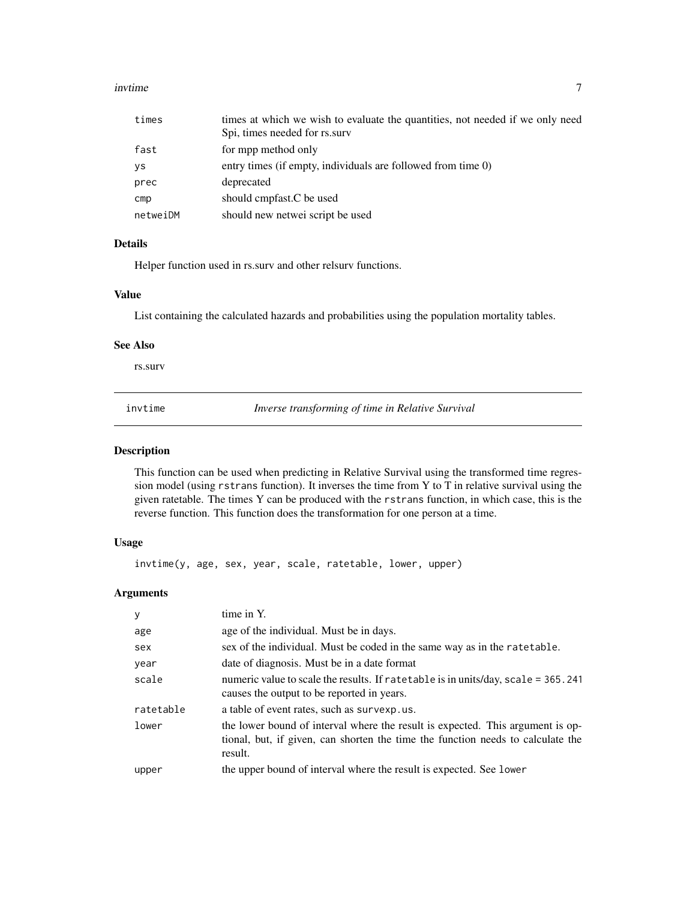#### <span id="page-6-0"></span>invtime **7**

| times    | times at which we wish to evaluate the quantities, not needed if we only need |
|----------|-------------------------------------------------------------------------------|
|          | Spi, times needed for rs.surv                                                 |
| fast     | for mpp method only                                                           |
| ys       | entry times (if empty, individuals are followed from time 0)                  |
| prec     | deprecated                                                                    |
| cmp      | should cmpfast.C be used                                                      |
| netweiDM | should new netwei script be used                                              |

# Details

Helper function used in rs.surv and other relsurv functions.

# Value

List containing the calculated hazards and probabilities using the population mortality tables.

#### See Also

rs.surv

<span id="page-6-1"></span>invtime *Inverse transforming of time in Relative Survival*

#### Description

This function can be used when predicting in Relative Survival using the transformed time regression model (using rstrans function). It inverses the time from Y to T in relative survival using the given ratetable. The times Y can be produced with the rstrans function, in which case, this is the reverse function. This function does the transformation for one person at a time.

#### Usage

invtime(y, age, sex, year, scale, ratetable, lower, upper)

| y         | time in Y.                                                                                                                                                                   |
|-----------|------------------------------------------------------------------------------------------------------------------------------------------------------------------------------|
| age       | age of the individual. Must be in days.                                                                                                                                      |
| sex       | sex of the individual. Must be coded in the same way as in the rate table.                                                                                                   |
| year      | date of diagnosis. Must be in a date format                                                                                                                                  |
| scale     | numeric value to scale the results. If ratetable is in units/day, scale = 365.241<br>causes the output to be reported in years.                                              |
| ratetable | a table of event rates, such as survexp.us.                                                                                                                                  |
| lower     | the lower bound of interval where the result is expected. This argument is op-<br>tional, but, if given, can shorten the time the function needs to calculate the<br>result. |
| upper     | the upper bound of interval where the result is expected. See lower                                                                                                          |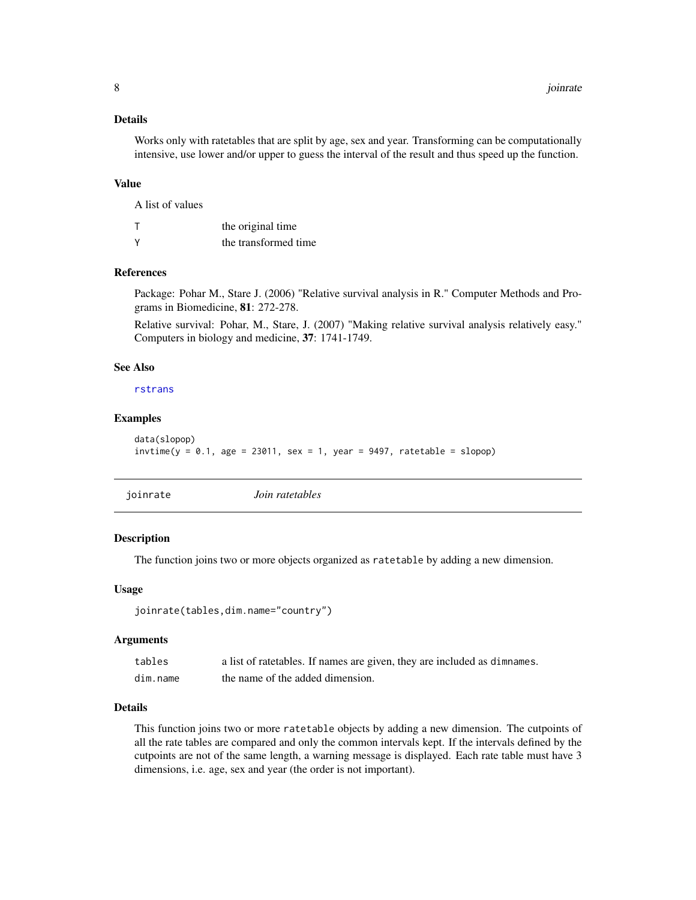# <span id="page-7-0"></span>Details

Works only with ratetables that are split by age, sex and year. Transforming can be computationally intensive, use lower and/or upper to guess the interval of the result and thus speed up the function.

# Value

A list of values

|   | the original time    |
|---|----------------------|
| γ | the transformed time |

#### References

Package: Pohar M., Stare J. (2006) "Relative survival analysis in R." Computer Methods and Programs in Biomedicine, 81: 272-278.

Relative survival: Pohar, M., Stare, J. (2007) "Making relative survival analysis relatively easy." Computers in biology and medicine, 37: 1741-1749.

# See Also

[rstrans](#page-29-1)

# Examples

```
data(slopop)
invtime(y = 0.1, age = 23011, sex = 1, year = 9497, ratetable = slope)
```
<span id="page-7-1"></span>

|--|

# Description

The function joins two or more objects organized as ratetable by adding a new dimension.

#### Usage

```
joinrate(tables,dim.name="country")
```
#### Arguments

| tables   | a list of ratetables. If names are given, they are included as dimnames. |
|----------|--------------------------------------------------------------------------|
| dim.name | the name of the added dimension.                                         |

### Details

This function joins two or more ratetable objects by adding a new dimension. The cutpoints of all the rate tables are compared and only the common intervals kept. If the intervals defined by the cutpoints are not of the same length, a warning message is displayed. Each rate table must have 3 dimensions, i.e. age, sex and year (the order is not important).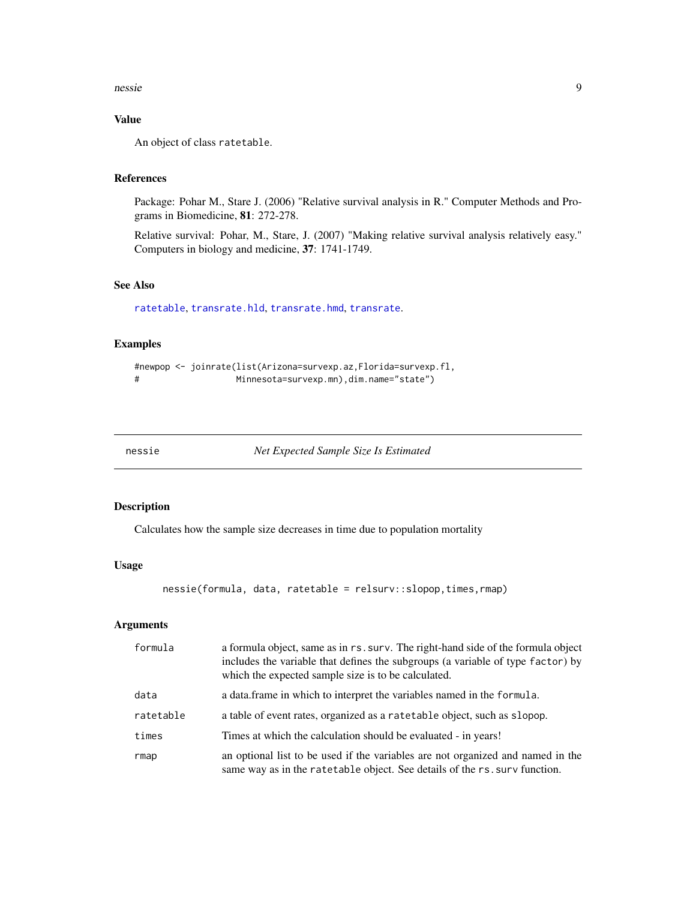#### <span id="page-8-0"></span>nessie 90 met die 19de eeu n.C. is die 19de eeu n.C. Soos ander die 19de eeu n.C. 19de eeu n.C. 19de eeu n.C. 1

# Value

An object of class ratetable.

# References

Package: Pohar M., Stare J. (2006) "Relative survival analysis in R." Computer Methods and Programs in Biomedicine, 81: 272-278.

Relative survival: Pohar, M., Stare, J. (2007) "Making relative survival analysis relatively easy." Computers in biology and medicine, 37: 1741-1749.

#### See Also

[ratetable](#page-0-0), [transrate.hld](#page-36-1), [transrate.hmd](#page-37-1), [transrate](#page-35-1).

# Examples

```
#newpop <- joinrate(list(Arizona=survexp.az,Florida=survexp.fl,
# Minnesota=survexp.mn),dim.name="state")
```
nessie *Net Expected Sample Size Is Estimated*

# Description

Calculates how the sample size decreases in time due to population mortality

#### Usage

nessie(formula, data, ratetable = relsurv::slopop,times,rmap)

| formula   | a formula object, same as in rs. surv. The right-hand side of the formula object<br>includes the variable that defines the subgroups (a variable of type factor) by<br>which the expected sample size is to be calculated. |
|-----------|----------------------------------------------------------------------------------------------------------------------------------------------------------------------------------------------------------------------------|
| data      | a data. frame in which to interpret the variables named in the formula.                                                                                                                                                    |
| ratetable | a table of event rates, organized as a ratetable object, such as slopop.                                                                                                                                                   |
| times     | Times at which the calculation should be evaluated - in years!                                                                                                                                                             |
| rmap      | an optional list to be used if the variables are not organized and named in the<br>same way as in the ratetable object. See details of the rs. surv function.                                                              |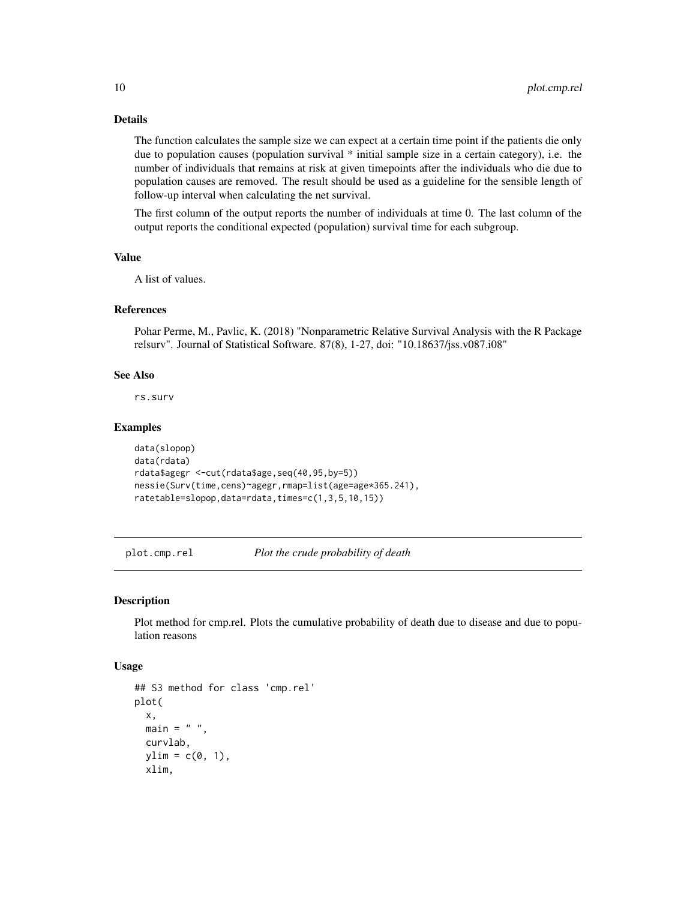# Details

The function calculates the sample size we can expect at a certain time point if the patients die only due to population causes (population survival \* initial sample size in a certain category), i.e. the number of individuals that remains at risk at given timepoints after the individuals who die due to population causes are removed. The result should be used as a guideline for the sensible length of follow-up interval when calculating the net survival.

The first column of the output reports the number of individuals at time 0. The last column of the output reports the conditional expected (population) survival time for each subgroup.

#### Value

A list of values.

#### References

Pohar Perme, M., Pavlic, K. (2018) "Nonparametric Relative Survival Analysis with the R Package relsurv". Journal of Statistical Software. 87(8), 1-27, doi: "10.18637/jss.v087.i08"

#### See Also

rs.surv

#### Examples

```
data(slopop)
data(rdata)
rdata$agegr <-cut(rdata$age,seq(40,95,by=5))
nessie(Surv(time,cens)~agegr,rmap=list(age=age*365.241),
ratetable=slopop,data=rdata,times=c(1,3,5,10,15))
```
plot.cmp.rel *Plot the crude probability of death*

# **Description**

Plot method for cmp.rel. Plots the cumulative probability of death due to disease and due to population reasons

#### Usage

```
## S3 method for class 'cmp.rel'
plot(
 x,
 main = " "curvlab,
 ylim = c(0, 1),xlim,
```
<span id="page-9-0"></span>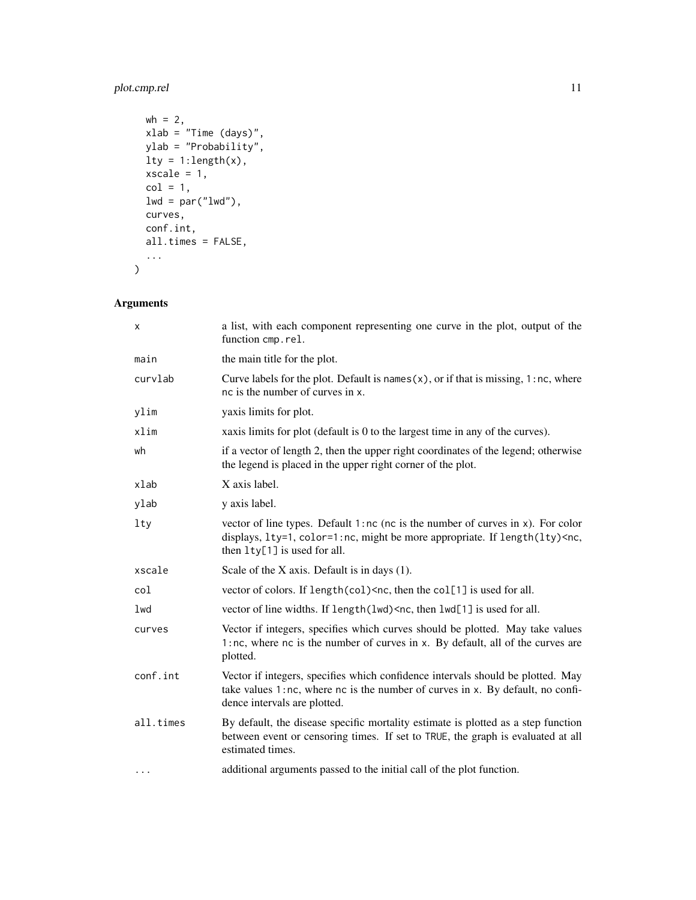# plot.cmp.rel 11

```
wh = 2,xlab = "Time (days)",
 ylab = "Probability",
 lty = 1:length(x),
 xscale = 1,col = 1,lwd = par("lwd"),
 curves,
 conf.int,
 all.times = FALSE,
  ...
\mathcal{L}
```

| x         | a list, with each component representing one curve in the plot, output of the<br>function cmp.rel.                                                                                                                                        |
|-----------|-------------------------------------------------------------------------------------------------------------------------------------------------------------------------------------------------------------------------------------------|
| main      | the main title for the plot.                                                                                                                                                                                                              |
| curvlab   | Curve labels for the plot. Default is names $(x)$ , or if that is missing, 1:nc, where<br>nc is the number of curves in x.                                                                                                                |
| ylim      | yaxis limits for plot.                                                                                                                                                                                                                    |
| xlim      | xaxis limits for plot (default is 0 to the largest time in any of the curves).                                                                                                                                                            |
| wh        | if a vector of length 2, then the upper right coordinates of the legend; otherwise<br>the legend is placed in the upper right corner of the plot.                                                                                         |
| xlab      | X axis label.                                                                                                                                                                                                                             |
| ylab      | y axis label.                                                                                                                                                                                                                             |
| 1ty       | vector of line types. Default $1:nc$ ( $nc$ is the number of curves in $x$ ). For color<br>displays, 1ty=1, color=1:nc, might be more appropriate. If length(lty) <nc,<br>then <math>l</math>ty<math>[1]</math> is used for all.</nc,<br> |
| xscale    | Scale of the $X$ axis. Default is in days $(1)$ .                                                                                                                                                                                         |
| col       | vector of colors. If length(col) $\leq$ nc, then the col[1] is used for all.                                                                                                                                                              |
| lwd       | vector of line widths. If length(lwd) <nc, all.<="" for="" is="" lwd[1]="" td="" then="" used=""></nc,>                                                                                                                                   |
| curves    | Vector if integers, specifies which curves should be plotted. May take values<br>1:nc, where nc is the number of curves in x. By default, all of the curves are<br>plotted.                                                               |
| conf.int  | Vector if integers, specifies which confidence intervals should be plotted. May<br>take values 1:nc, where nc is the number of curves in x. By default, no confi-<br>dence intervals are plotted.                                         |
| all.times | By default, the disease specific mortality estimate is plotted as a step function<br>between event or censoring times. If set to TRUE, the graph is evaluated at all<br>estimated times.                                                  |
| $\cdots$  | additional arguments passed to the initial call of the plot function.                                                                                                                                                                     |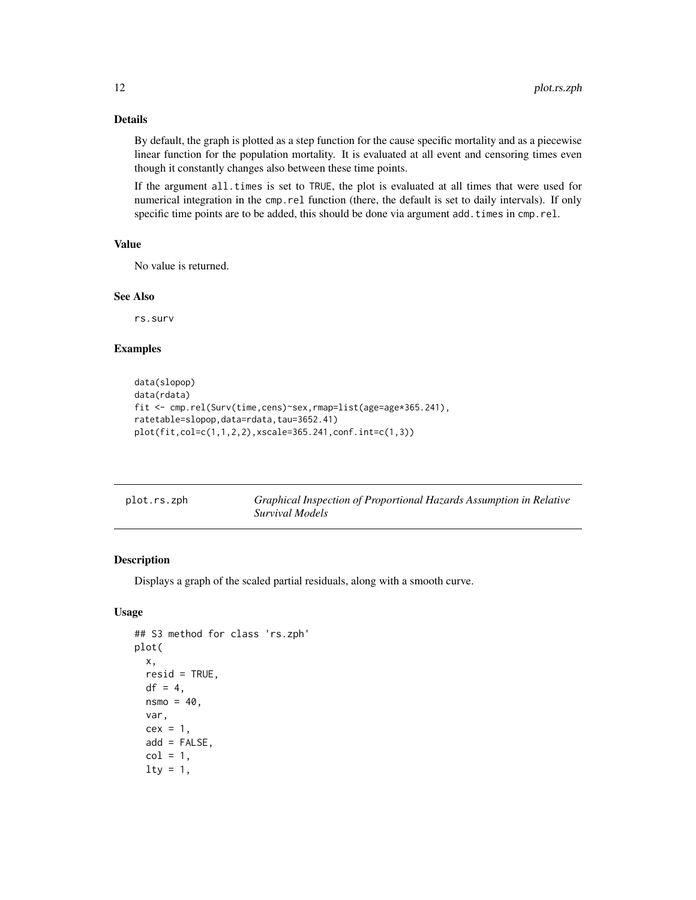# <span id="page-11-0"></span>Details

By default, the graph is plotted as a step function for the cause specific mortality and as a piecewise linear function for the population mortality. It is evaluated at all event and censoring times even though it constantly changes also between these time points.

If the argument all.times is set to TRUE, the plot is evaluated at all times that were used for numerical integration in the cmp.rel function (there, the default is set to daily intervals). If only specific time points are to be added, this should be done via argument add.times in cmp.rel.

### Value

No value is returned.

#### See Also

rs.surv

# Examples

```
data(slopop)
data(rdata)
fit <- cmp.rel(Surv(time,cens)~sex,rmap=list(age=age*365.241),
ratetable=slopop,data=rdata,tau=3652.41)
plot(fit,col=c(1,1,2,2),xscale=365.241,conf.int=c(1,3))
```

| plot.rs.zph | Graphical Inspection of Proportional Hazards Assumption in Relative |
|-------------|---------------------------------------------------------------------|
|             | Survival Models                                                     |

# Description

Displays a graph of the scaled partial residuals, along with a smooth curve.

# Usage

```
## S3 method for class 'rs.zph'
plot(
  x,
  resid = TRUE,df = 4,
  nsmo = 40.
  var,
  cex = 1,
  add = FALSE,col = 1,
  lty = 1,
```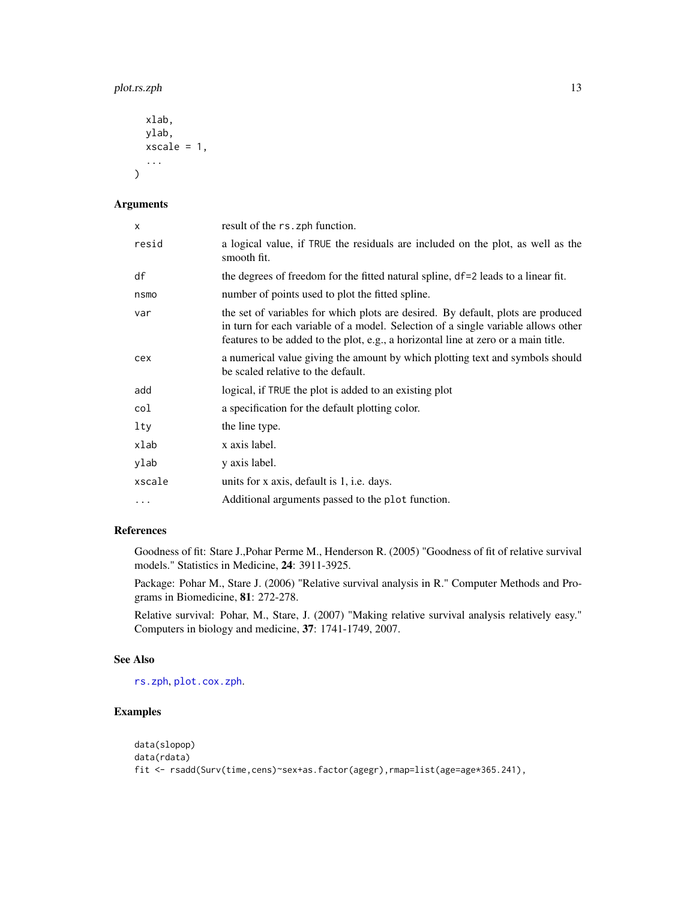```
xlab,
 ylab,
 xscale = 1,
  ...
)
```
# Arguments

| X      | result of the rs. zph function.                                                                                                                                                                                                                             |
|--------|-------------------------------------------------------------------------------------------------------------------------------------------------------------------------------------------------------------------------------------------------------------|
| resid  | a logical value, if TRUE the residuals are included on the plot, as well as the<br>smooth fit.                                                                                                                                                              |
| df     | the degrees of freedom for the fitted natural spline, df=2 leads to a linear fit.                                                                                                                                                                           |
| nsmo   | number of points used to plot the fitted spline.                                                                                                                                                                                                            |
| var    | the set of variables for which plots are desired. By default, plots are produced<br>in turn for each variable of a model. Selection of a single variable allows other<br>features to be added to the plot, e.g., a horizontal line at zero or a main title. |
| cex    | a numerical value giving the amount by which plotting text and symbols should<br>be scaled relative to the default.                                                                                                                                         |
| add    | logical, if TRUE the plot is added to an existing plot                                                                                                                                                                                                      |
| col    | a specification for the default plotting color.                                                                                                                                                                                                             |
| lty    | the line type.                                                                                                                                                                                                                                              |
| xlab   | x axis label.                                                                                                                                                                                                                                               |
| ylab   | y axis label.                                                                                                                                                                                                                                               |
| xscale | units for x axis, default is 1, i.e. days.                                                                                                                                                                                                                  |
| .      | Additional arguments passed to the plot function.                                                                                                                                                                                                           |

# References

Goodness of fit: Stare J.,Pohar Perme M., Henderson R. (2005) "Goodness of fit of relative survival models." Statistics in Medicine, 24: 3911-3925.

Package: Pohar M., Stare J. (2006) "Relative survival analysis in R." Computer Methods and Programs in Biomedicine, 81: 272-278.

Relative survival: Pohar, M., Stare, J. (2007) "Making relative survival analysis relatively easy." Computers in biology and medicine, 37: 1741-1749, 2007.

# See Also

[rs.zph](#page-23-1), [plot.cox.zph](#page-0-0).

# Examples

```
data(slopop)
data(rdata)
fit <- rsadd(Surv(time,cens)~sex+as.factor(agegr),rmap=list(age=age*365.241),
```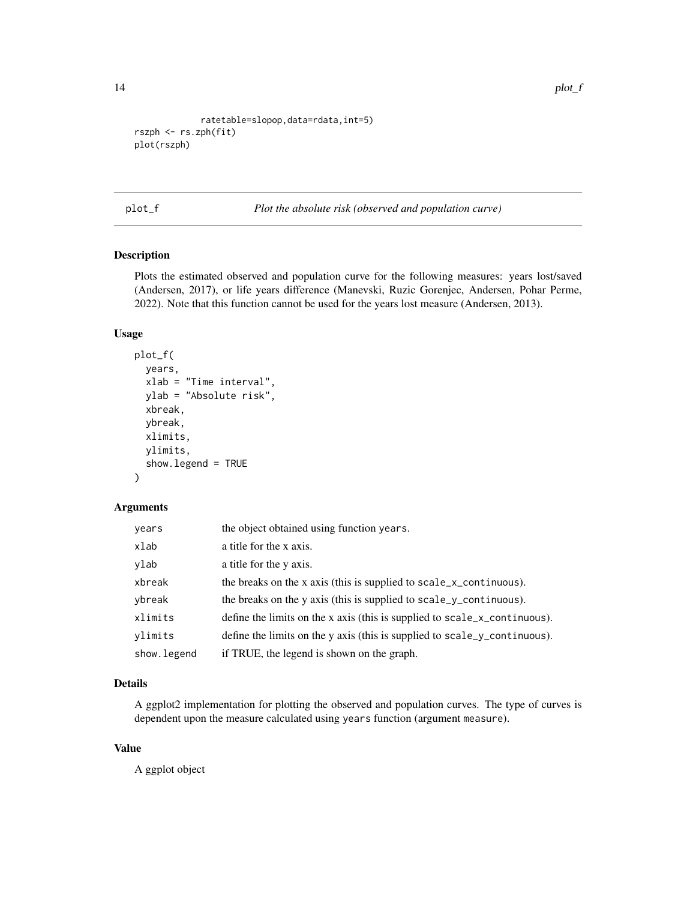```
ratetable=slopop,data=rdata,int=5)
rszph <- rs.zph(fit)
plot(rszph)
```
plot\_f *Plot the absolute risk (observed and population curve)*

# Description

Plots the estimated observed and population curve for the following measures: years lost/saved (Andersen, 2017), or life years difference (Manevski, Ruzic Gorenjec, Andersen, Pohar Perme, 2022). Note that this function cannot be used for the years lost measure (Andersen, 2013).

#### Usage

```
plot_f(
 years,
 xlab = "Time interval",
 ylab = "Absolute risk",
  xbreak,
 ybreak,
 xlimits,
  ylimits,
  show.legend = TRUE
\lambda
```
#### Arguments

| years        | the object obtained using function years.                                      |
|--------------|--------------------------------------------------------------------------------|
| xlab         | a title for the x axis.                                                        |
| ylab         | a title for the y axis.                                                        |
| xbreak       | the breaks on the x axis (this is supplied to scale_ $x$ _continuous).         |
| ybreak       | the breaks on the y axis (this is supplied to scale_y_continuous).             |
| xlimits      | define the limits on the x axis (this is supplied to $scale_x_{continuous}$ ). |
| vlimits      | define the limits on the y axis (this is supplied to scale_y_continuous).      |
| show. legend | if TRUE, the legend is shown on the graph.                                     |

# Details

A ggplot2 implementation for plotting the observed and population curves. The type of curves is dependent upon the measure calculated using years function (argument measure).

# Value

A ggplot object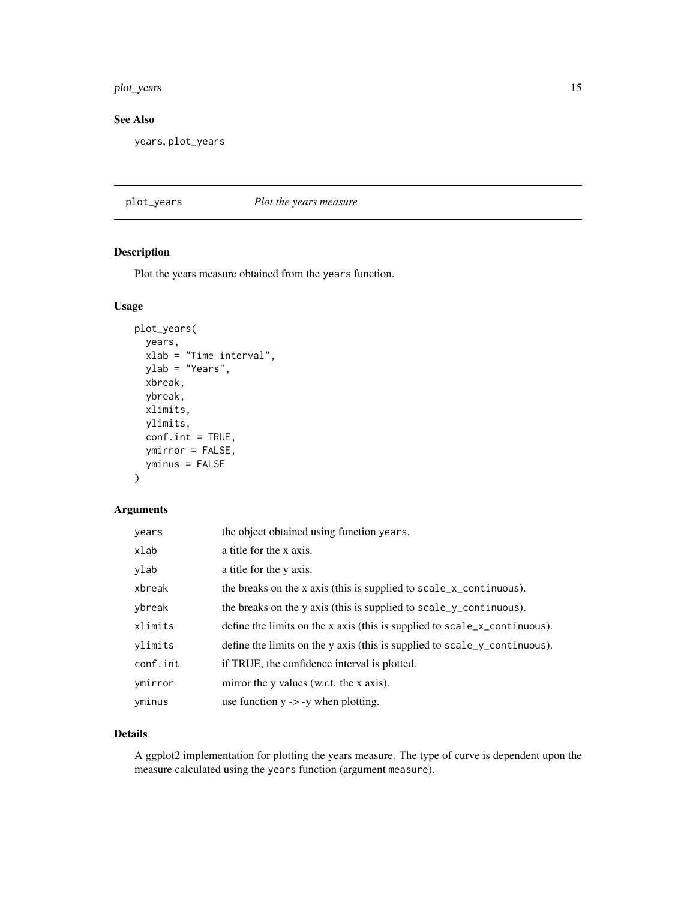# <span id="page-14-0"></span>plot\_years 15

# See Also

years, plot\_years

# plot\_years *Plot the years measure*

# Description

Plot the years measure obtained from the years function.

### Usage

```
plot_years(
 years,
 xlab = "Time interval",
 ylab = "Years",
 xbreak,
 ybreak,
 xlimits,
 ylimits,
  conf.int = TRUE,
 ymirror = FALSE,
 yminus = FALSE
)
```
### Arguments

| years    | the object obtained using function years.                                     |
|----------|-------------------------------------------------------------------------------|
| xlab     | a title for the x axis.                                                       |
| ylab     | a title for the y axis.                                                       |
| xbreak   | the breaks on the x axis (this is supplied to scale_ $x$ _continuous).        |
| ybreak   | the breaks on the y axis (this is supplied to scale_y_continuous).            |
| xlimits  | define the limits on the x axis (this is supplied to scale_ $x$ _continuous). |
| ylimits  | define the limits on the y axis (this is supplied to scale_y_continuous).     |
| conf.int | if TRUE, the confidence interval is plotted.                                  |
| ymirror  | mirror the y values (w.r.t. the x axis).                                      |
| yminus   | use function $y \rightarrow -y$ when plotting.                                |

# Details

A ggplot2 implementation for plotting the years measure. The type of curve is dependent upon the measure calculated using the years function (argument measure).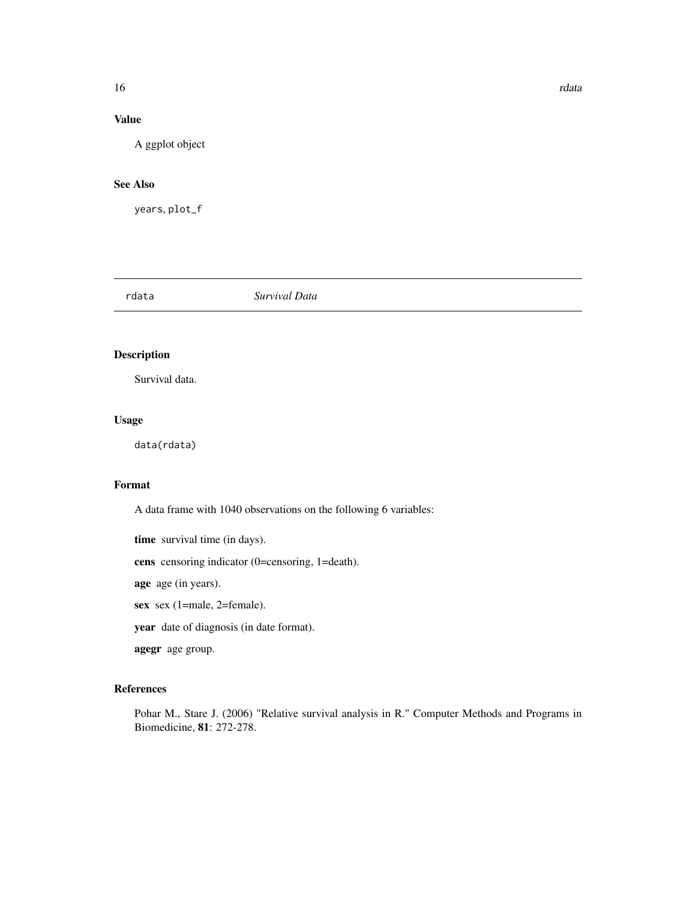# <span id="page-15-0"></span>Value

A ggplot object

# See Also

years, plot\_f

rdata *Survival Data*

# Description

Survival data.

### Usage

data(rdata)

# Format

A data frame with 1040 observations on the following 6 variables:

time survival time (in days).

cens censoring indicator (0=censoring, 1=death).

age age (in years).

sex sex (1=male, 2=female).

year date of diagnosis (in date format).

agegr age group.

#### References

Pohar M., Stare J. (2006) "Relative survival analysis in R." Computer Methods and Programs in Biomedicine, 81: 272-278.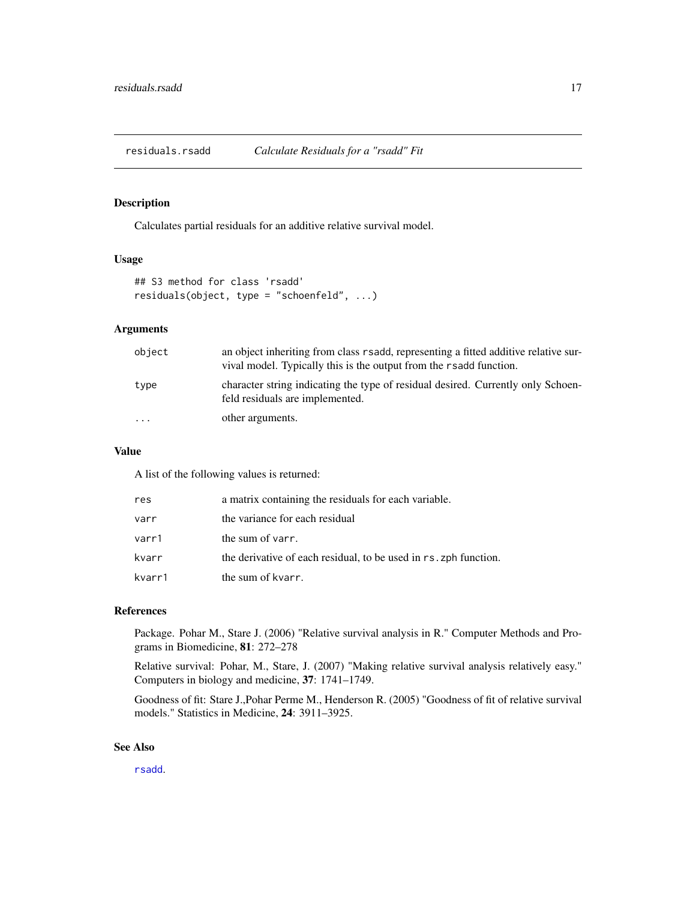<span id="page-16-0"></span>residuals.rsadd *Calculate Residuals for a "rsadd" Fit*

#### Description

Calculates partial residuals for an additive relative survival model.

#### Usage

```
## S3 method for class 'rsadd'
residuals(object, type = "schoenfeld", ...)
```
# Arguments

| object    | an object inheriting from class r sadd, representing a fitted additive relative sur-<br>vival model. Typically this is the output from the r sadd function. |
|-----------|-------------------------------------------------------------------------------------------------------------------------------------------------------------|
| type      | character string indicating the type of residual desired. Currently only Schoen-<br>feld residuals are implemented.                                         |
| $\ddotsc$ | other arguments.                                                                                                                                            |

#### Value

A list of the following values is returned:

| res    | a matrix containing the residuals for each variable.             |
|--------|------------------------------------------------------------------|
| varr   | the variance for each residual                                   |
| varr1  | the sum of varr.                                                 |
| kvarr  | the derivative of each residual, to be used in rs. zph function. |
| kvarr1 | the sum of kvarr.                                                |

#### References

Package. Pohar M., Stare J. (2006) "Relative survival analysis in R." Computer Methods and Programs in Biomedicine, 81: 272–278

Relative survival: Pohar, M., Stare, J. (2007) "Making relative survival analysis relatively easy." Computers in biology and medicine, 37: 1741–1749.

Goodness of fit: Stare J.,Pohar Perme M., Henderson R. (2005) "Goodness of fit of relative survival models." Statistics in Medicine, 24: 3911–3925.

#### See Also

[rsadd](#page-25-1).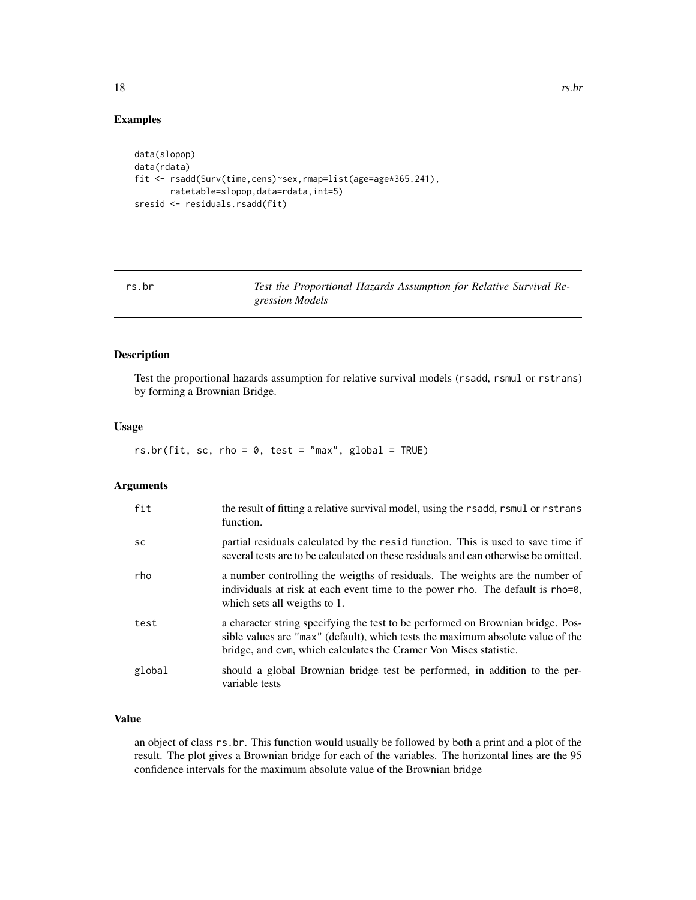# <span id="page-17-0"></span>Examples

```
data(slopop)
data(rdata)
fit <- rsadd(Surv(time,cens)~sex,rmap=list(age=age*365.241),
       ratetable=slopop,data=rdata,int=5)
sresid <- residuals.rsadd(fit)
```
rs.br *Test the Proportional Hazards Assumption for Relative Survival Regression Models*

# Description

Test the proportional hazards assumption for relative survival models (rsadd, rsmul or rstrans) by forming a Brownian Bridge.

### Usage

 $rs.br(fit, sc, rho = 0, test = "max", global = TRUE)$ 

#### Arguments

| fit       | the result of fitting a relative survival model, using the rsadd, rsmul or rstrans<br>function.                                                                                                                                         |
|-----------|-----------------------------------------------------------------------------------------------------------------------------------------------------------------------------------------------------------------------------------------|
| <b>SC</b> | partial residuals calculated by the resid function. This is used to save time if<br>several tests are to be calculated on these residuals and can otherwise be omitted.                                                                 |
| rho       | a number controlling the weigths of residuals. The weights are the number of<br>individuals at risk at each event time to the power rho. The default is rho=0,<br>which sets all weigths to 1.                                          |
| test      | a character string specifying the test to be performed on Brownian bridge. Pos-<br>sible values are "max" (default), which tests the maximum absolute value of the<br>bridge, and cym, which calculates the Cramer Von Mises statistic. |
| global    | should a global Brownian bridge test be performed, in addition to the per-<br>variable tests                                                                                                                                            |

# Value

an object of class rs.br. This function would usually be followed by both a print and a plot of the result. The plot gives a Brownian bridge for each of the variables. The horizontal lines are the 95 confidence intervals for the maximum absolute value of the Brownian bridge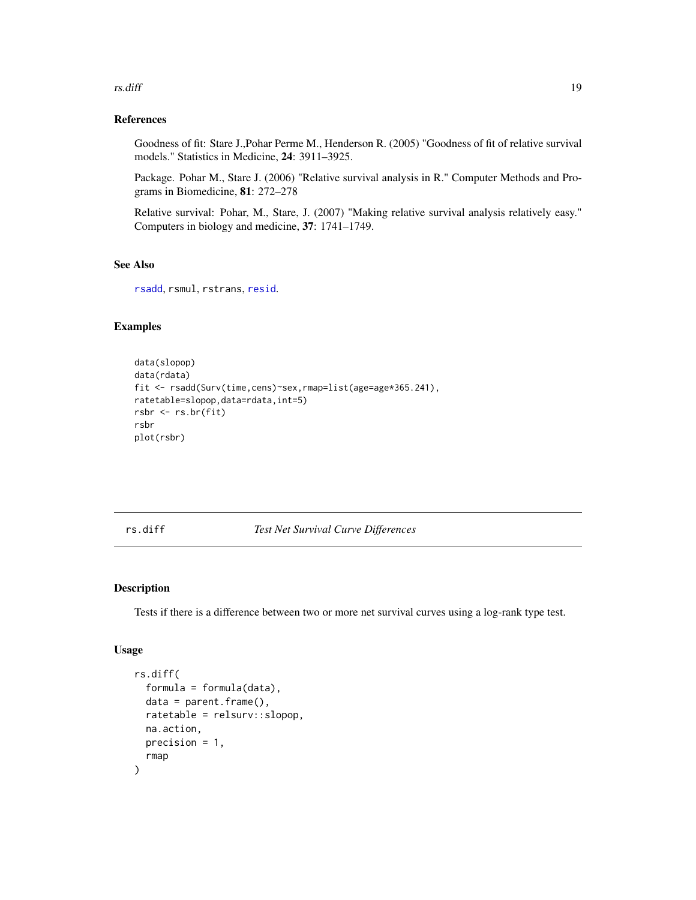#### <span id="page-18-0"></span>rs.diff and the state of the state of the state of the state of the state of the state of the state of the state of the state of the state of the state of the state of the state of the state of the state of the state of th

# References

Goodness of fit: Stare J.,Pohar Perme M., Henderson R. (2005) "Goodness of fit of relative survival models." Statistics in Medicine, 24: 3911–3925.

Package. Pohar M., Stare J. (2006) "Relative survival analysis in R." Computer Methods and Programs in Biomedicine, 81: 272–278

Relative survival: Pohar, M., Stare, J. (2007) "Making relative survival analysis relatively easy." Computers in biology and medicine, 37: 1741–1749.

# See Also

[rsadd](#page-25-1), rsmul, rstrans, [resid](#page-0-0).

# Examples

```
data(slopop)
data(rdata)
fit <- rsadd(Surv(time,cens)~sex,rmap=list(age=age*365.241),
ratetable=slopop,data=rdata,int=5)
rsbr <- rs.br(fit)
rsbr
plot(rsbr)
```
rs.diff *Test Net Survival Curve Differences*

# Description

Tests if there is a difference between two or more net survival curves using a log-rank type test.

# Usage

```
rs.diff(
  formula = formula(data),
  data = parent.frame(),
 ratetable = relsurv::slopop,
 na.action,
 precision = 1,
  rmap
)
```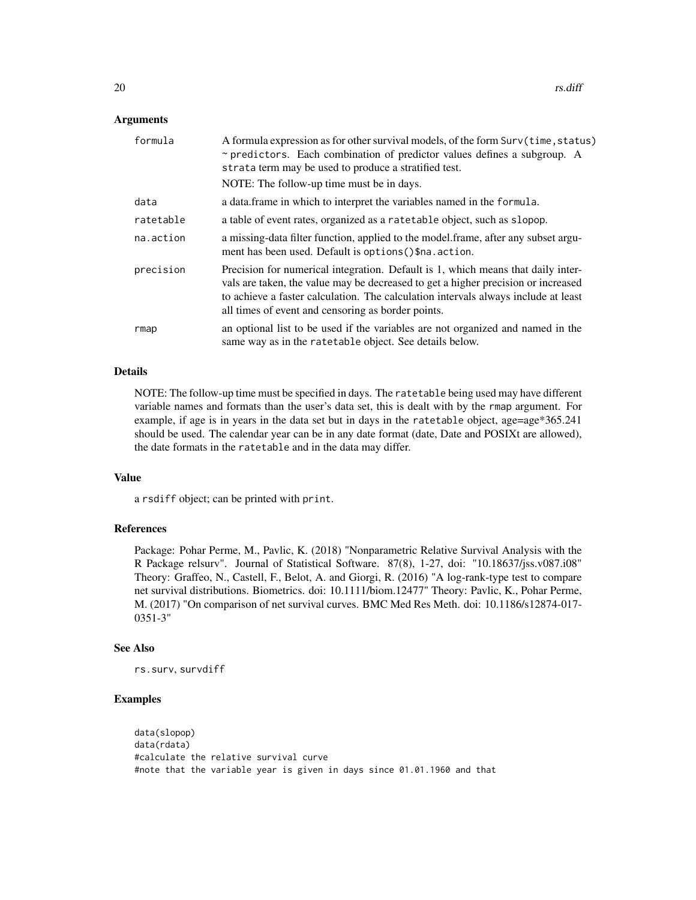#### **Arguments**

| formula   | A formula expression as for other survival models, of the form Surv(time, status)<br>$\sim$ predictors. Each combination of predictor values defines a subgroup. A<br>strata term may be used to produce a stratified test.                                                                                       |
|-----------|-------------------------------------------------------------------------------------------------------------------------------------------------------------------------------------------------------------------------------------------------------------------------------------------------------------------|
|           | NOTE: The follow-up time must be in days.                                                                                                                                                                                                                                                                         |
| data      | a data.frame in which to interpret the variables named in the formula.                                                                                                                                                                                                                                            |
| ratetable | a table of event rates, organized as a ratetable object, such as slopop.                                                                                                                                                                                                                                          |
| na.action | a missing-data filter function, applied to the model.frame, after any subset argu-<br>ment has been used. Default is options () \$na. action.                                                                                                                                                                     |
| precision | Precision for numerical integration. Default is 1, which means that daily inter-<br>vals are taken, the value may be decreased to get a higher precision or increased<br>to achieve a faster calculation. The calculation intervals always include at least<br>all times of event and censoring as border points. |
| rmap      | an optional list to be used if the variables are not organized and named in the<br>same way as in the ratetable object. See details below.                                                                                                                                                                        |

#### Details

NOTE: The follow-up time must be specified in days. The ratetable being used may have different variable names and formats than the user's data set, this is dealt with by the rmap argument. For example, if age is in years in the data set but in days in the ratetable object, age=age\*365.241 should be used. The calendar year can be in any date format (date, Date and POSIXt are allowed), the date formats in the ratetable and in the data may differ.

# Value

a rsdiff object; can be printed with print.

#### References

Package: Pohar Perme, M., Pavlic, K. (2018) "Nonparametric Relative Survival Analysis with the R Package relsurv". Journal of Statistical Software. 87(8), 1-27, doi: "10.18637/jss.v087.i08" Theory: Graffeo, N., Castell, F., Belot, A. and Giorgi, R. (2016) "A log-rank-type test to compare net survival distributions. Biometrics. doi: 10.1111/biom.12477" Theory: Pavlic, K., Pohar Perme, M. (2017) "On comparison of net survival curves. BMC Med Res Meth. doi: 10.1186/s12874-017- 0351-3"

#### See Also

rs.surv, survdiff

# Examples

```
data(slopop)
data(rdata)
#calculate the relative survival curve
#note that the variable year is given in days since 01.01.1960 and that
```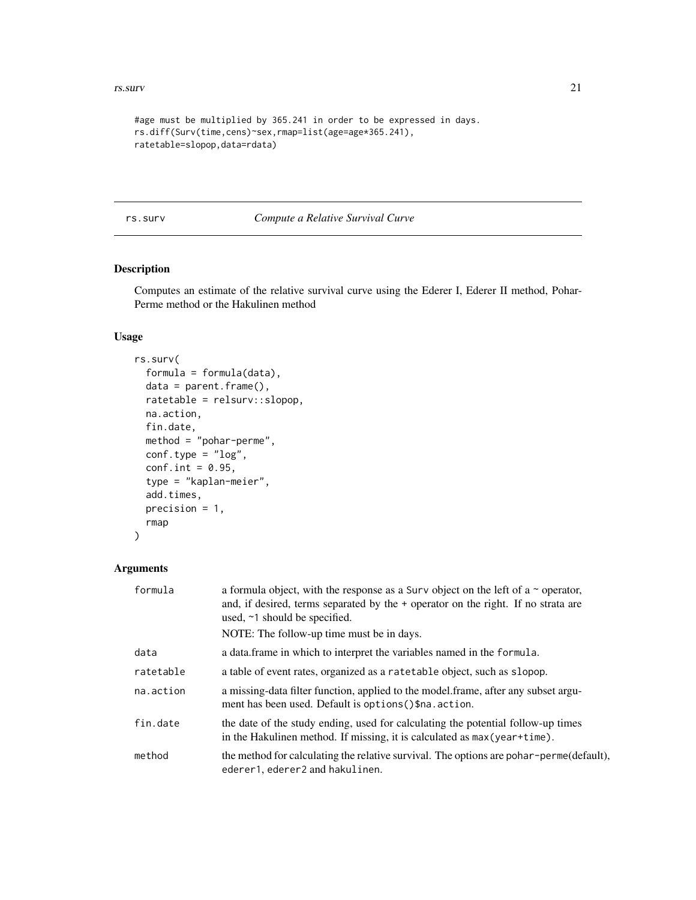#### <span id="page-20-0"></span>rs.surv 21

```
#age must be multiplied by 365.241 in order to be expressed in days.
rs.diff(Surv(time,cens)~sex,rmap=list(age=age*365.241),
ratetable=slopop,data=rdata)
```
<span id="page-20-1"></span>rs.surv *Compute a Relative Survival Curve*

# Description

Computes an estimate of the relative survival curve using the Ederer I, Ederer II method, Pohar-Perme method or the Hakulinen method

# Usage

```
rs.surv(
  formula = formula(data),
 data = parent.frame(),
 ratetable = relsurv::slopop,
 na.action,
  fin.date,
 method = "pohar-perme",
 conf.\text{type} = "log",conf.int = 0.95,type = "kaplan-meier",
  add.times,
 precision = 1,
 rmap
)
```

| formula   | a formula object, with the response as a Surv object on the left of a $\sim$ operator,<br>and, if desired, terms separated by the + operator on the right. If no strata are<br>used, $\sim$ 1 should be specified.<br>NOTE: The follow-up time must be in days. |
|-----------|-----------------------------------------------------------------------------------------------------------------------------------------------------------------------------------------------------------------------------------------------------------------|
|           |                                                                                                                                                                                                                                                                 |
| data      | a data frame in which to interpret the variables named in the formula.                                                                                                                                                                                          |
| ratetable | a table of event rates, organized as a ratetable object, such as slopop.                                                                                                                                                                                        |
| na.action | a missing-data filter function, applied to the model frame, after any subset argu-<br>ment has been used. Default is options () \$na. action.                                                                                                                   |
| fin.date  | the date of the study ending, used for calculating the potential follow-up times<br>in the Hakulinen method. If missing, it is calculated as max (year+time).                                                                                                   |
| method    | the method for calculating the relative survival. The options are pohar-perme(default),<br>ederer1, ederer2 and hakulinen.                                                                                                                                      |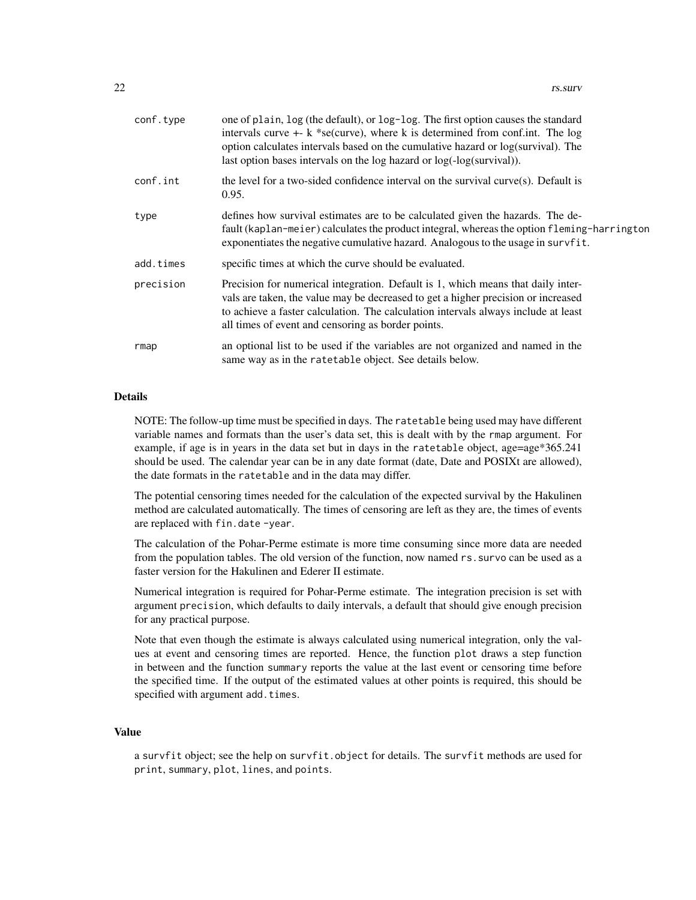| conf.type | one of plain, log (the default), or log-log. The first option causes the standard<br>intervals curve $+$ - k *se(curve), where k is determined from conf.int. The log<br>option calculates intervals based on the cumulative hazard or log(survival). The<br>last option bases intervals on the log hazard or log(-log(survival)). |
|-----------|------------------------------------------------------------------------------------------------------------------------------------------------------------------------------------------------------------------------------------------------------------------------------------------------------------------------------------|
| conf.int  | the level for a two-sided confidence interval on the survival curve $(s)$ . Default is<br>0.95.                                                                                                                                                                                                                                    |
| type      | defines how survival estimates are to be calculated given the hazards. The de-<br>fault (kaplan-meier) calculates the product integral, whereas the option fleming-harrington<br>exponentiates the negative cumulative hazard. Analogous to the usage in survfit.                                                                  |
| add.times | specific times at which the curve should be evaluated.                                                                                                                                                                                                                                                                             |
| precision | Precision for numerical integration. Default is 1, which means that daily inter-<br>vals are taken, the value may be decreased to get a higher precision or increased<br>to achieve a faster calculation. The calculation intervals always include at least<br>all times of event and censoring as border points.                  |
| rmap      | an optional list to be used if the variables are not organized and named in the<br>same way as in the ratetable object. See details below.                                                                                                                                                                                         |

# **Details**

NOTE: The follow-up time must be specified in days. The ratetable being used may have different variable names and formats than the user's data set, this is dealt with by the rmap argument. For example, if age is in years in the data set but in days in the ratetable object, age=age\*365.241 should be used. The calendar year can be in any date format (date, Date and POSIXt are allowed), the date formats in the ratetable and in the data may differ.

The potential censoring times needed for the calculation of the expected survival by the Hakulinen method are calculated automatically. The times of censoring are left as they are, the times of events are replaced with fin.date -year.

The calculation of the Pohar-Perme estimate is more time consuming since more data are needed from the population tables. The old version of the function, now named rs.survo can be used as a faster version for the Hakulinen and Ederer II estimate.

Numerical integration is required for Pohar-Perme estimate. The integration precision is set with argument precision, which defaults to daily intervals, a default that should give enough precision for any practical purpose.

Note that even though the estimate is always calculated using numerical integration, only the values at event and censoring times are reported. Hence, the function plot draws a step function in between and the function summary reports the value at the last event or censoring time before the specified time. If the output of the estimated values at other points is required, this should be specified with argument add.times.

#### Value

a survfit object; see the help on survfit.object for details. The survfit methods are used for print, summary, plot, lines, and points.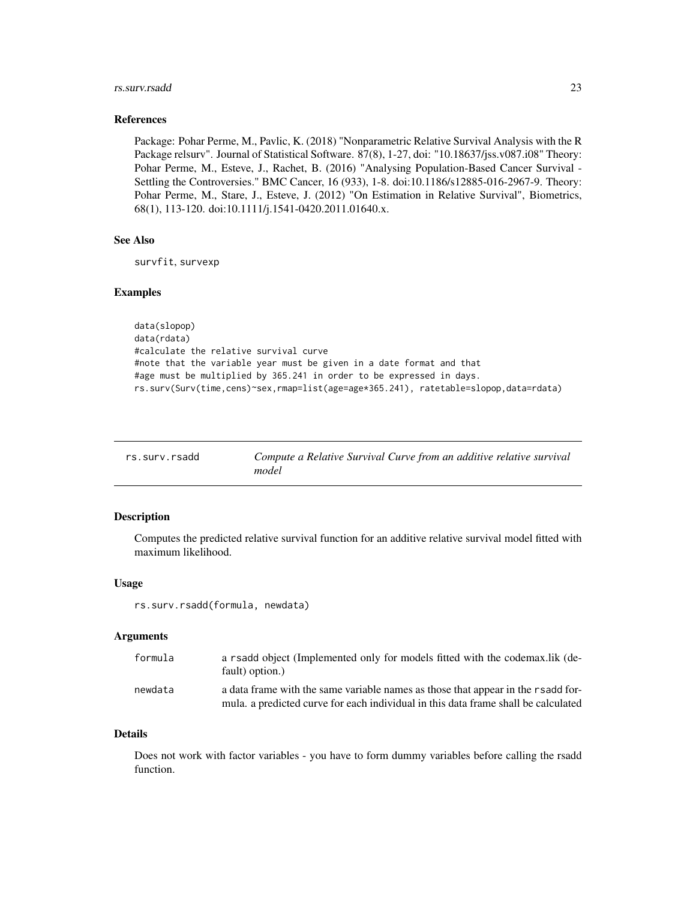#### <span id="page-22-0"></span>rs.surv.rsadd 23

#### References

Package: Pohar Perme, M., Pavlic, K. (2018) "Nonparametric Relative Survival Analysis with the R Package relsurv". Journal of Statistical Software. 87(8), 1-27, doi: "10.18637/jss.v087.i08" Theory: Pohar Perme, M., Esteve, J., Rachet, B. (2016) "Analysing Population-Based Cancer Survival - Settling the Controversies." BMC Cancer, 16 (933), 1-8. doi:10.1186/s12885-016-2967-9. Theory: Pohar Perme, M., Stare, J., Esteve, J. (2012) "On Estimation in Relative Survival", Biometrics, 68(1), 113-120. doi:10.1111/j.1541-0420.2011.01640.x.

#### See Also

survfit, survexp

#### Examples

```
data(slopop)
data(rdata)
#calculate the relative survival curve
#note that the variable year must be given in a date format and that
#age must be multiplied by 365.241 in order to be expressed in days.
rs.surv(Surv(time,cens)~sex,rmap=list(age=age*365.241), ratetable=slopop,data=rdata)
```

| rs.surv.rsadd | Compute a Relative Survival Curve from an additive relative survival |
|---------------|----------------------------------------------------------------------|
|               | model                                                                |

#### Description

Computes the predicted relative survival function for an additive relative survival model fitted with maximum likelihood.

#### Usage

rs.surv.rsadd(formula, newdata)

### Arguments

| formula | a rsadd object (Implemented only for models fitted with the codemax.lik (de-<br>fault) option.)                                                                        |
|---------|------------------------------------------------------------------------------------------------------------------------------------------------------------------------|
| newdata | a data frame with the same variable names as those that appear in the rsadd for-<br>mula, a predicted curve for each individual in this data frame shall be calculated |

#### Details

Does not work with factor variables - you have to form dummy variables before calling the rsadd function.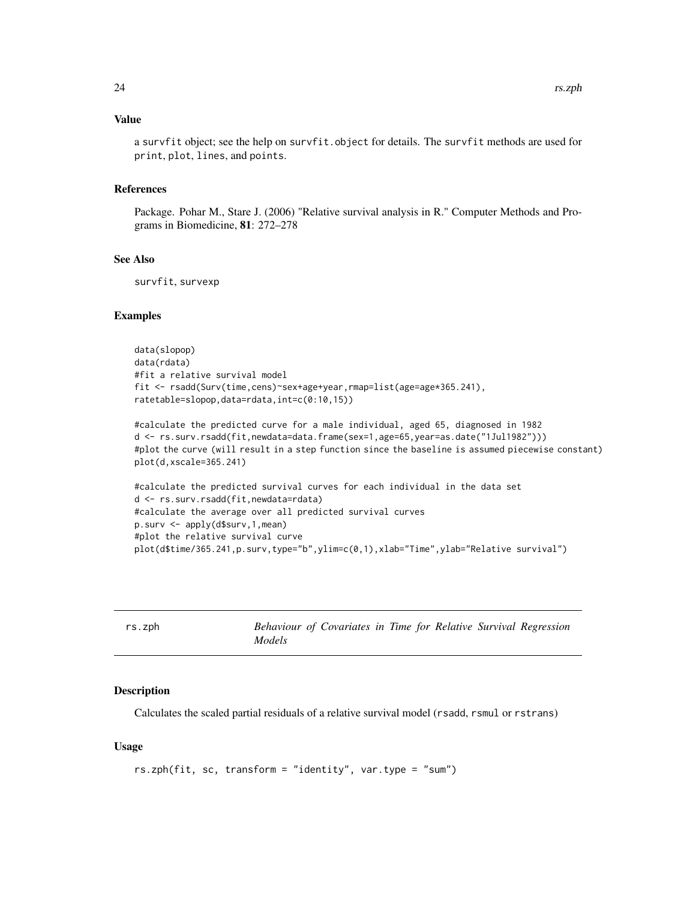#### <span id="page-23-0"></span>Value

a survfit object; see the help on survfit.object for details. The survfit methods are used for print, plot, lines, and points.

#### References

Package. Pohar M., Stare J. (2006) "Relative survival analysis in R." Computer Methods and Programs in Biomedicine, 81: 272–278

#### See Also

survfit, survexp

#### Examples

```
data(slopop)
data(rdata)
#fit a relative survival model
fit <- rsadd(Surv(time,cens)~sex+age+year,rmap=list(age=age*365.241),
ratetable=slopop,data=rdata,int=c(0:10,15))
```

```
#calculate the predicted curve for a male individual, aged 65, diagnosed in 1982
d <- rs.surv.rsadd(fit,newdata=data.frame(sex=1,age=65,year=as.date("1Jul1982")))
#plot the curve (will result in a step function since the baseline is assumed piecewise constant)
plot(d,xscale=365.241)
```

```
#calculate the predicted survival curves for each individual in the data set
d <- rs.surv.rsadd(fit,newdata=rdata)
#calculate the average over all predicted survival curves
p.surv <- apply(d$surv,1,mean)
#plot the relative survival curve
plot(d$time/365.241,p.surv,type="b",ylim=c(0,1),xlab="Time",ylab="Relative survival")
```
<span id="page-23-1"></span>

| rs.zph |        | Behaviour of Covariates in Time for Relative Survival Regression |  |  |  |
|--------|--------|------------------------------------------------------------------|--|--|--|
|        | Models |                                                                  |  |  |  |

#### Description

Calculates the scaled partial residuals of a relative survival model (rsadd, rsmul or rstrans)

#### Usage

```
rs.zph(fit, sc, transform = "identity", var.type = "sum")
```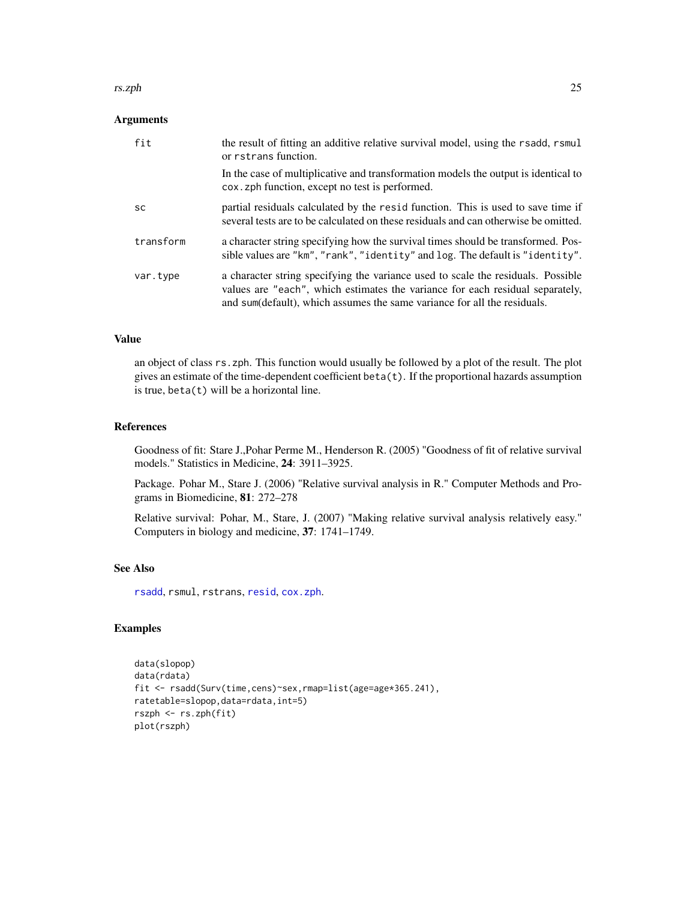#### <span id="page-24-0"></span>rs.zph 25

# Arguments

| fit       | the result of fitting an additive relative survival model, using the rsadd, rsmul<br>or rstrans function.                                                                                                                                     |
|-----------|-----------------------------------------------------------------------------------------------------------------------------------------------------------------------------------------------------------------------------------------------|
|           | In the case of multiplicative and transformation models the output is identical to<br>cox. zph function, except no test is performed.                                                                                                         |
| <b>SC</b> | partial residuals calculated by the resid function. This is used to save time if<br>several tests are to be calculated on these residuals and can otherwise be omitted.                                                                       |
| transform | a character string specifying how the survival times should be transformed. Pos-<br>sible values are "km", "rank", "identity" and log. The default is "identity".                                                                             |
| var.type  | a character string specifying the variance used to scale the residuals. Possible<br>values are "each", which estimates the variance for each residual separately,<br>and sum(default), which assumes the same variance for all the residuals. |

#### Value

an object of class rs.zph. This function would usually be followed by a plot of the result. The plot gives an estimate of the time-dependent coefficient beta(t). If the proportional hazards assumption is true,  $beta(t)$  will be a horizontal line.

### References

Goodness of fit: Stare J.,Pohar Perme M., Henderson R. (2005) "Goodness of fit of relative survival models." Statistics in Medicine, 24: 3911–3925.

Package. Pohar M., Stare J. (2006) "Relative survival analysis in R." Computer Methods and Programs in Biomedicine, 81: 272–278

Relative survival: Pohar, M., Stare, J. (2007) "Making relative survival analysis relatively easy." Computers in biology and medicine, 37: 1741–1749.

# See Also

[rsadd](#page-25-1), rsmul, rstrans, [resid](#page-0-0), [cox.zph](#page-0-0).

# Examples

```
data(slopop)
data(rdata)
fit <- rsadd(Surv(time,cens)~sex,rmap=list(age=age*365.241),
ratetable=slopop,data=rdata,int=5)
rszph <- rs.zph(fit)
plot(rszph)
```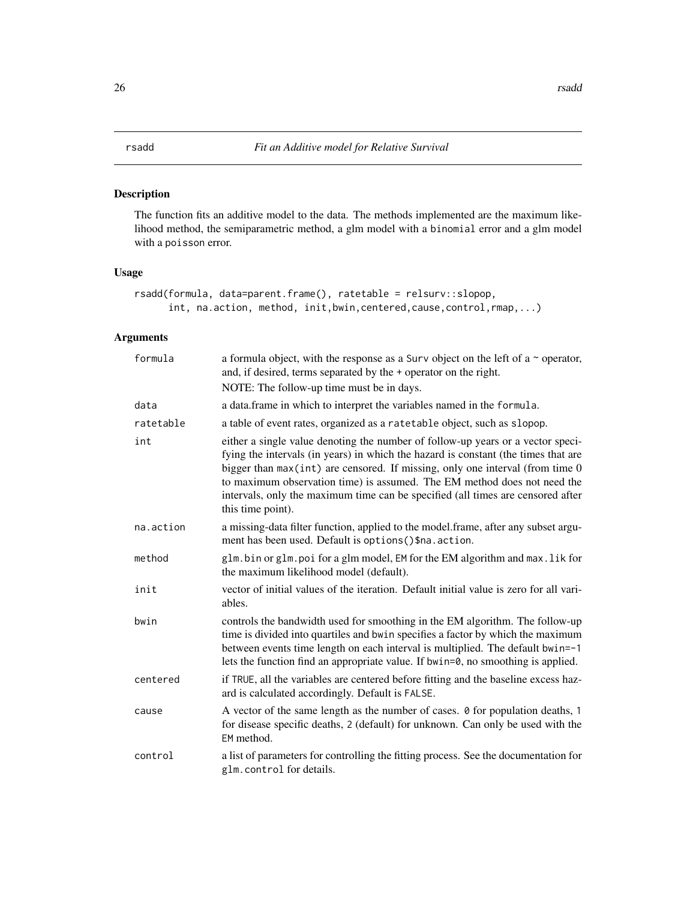# <span id="page-25-1"></span><span id="page-25-0"></span>Description

The function fits an additive model to the data. The methods implemented are the maximum likelihood method, the semiparametric method, a glm model with a binomial error and a glm model with a poisson error.

# Usage

```
rsadd(formula, data=parent.frame(), ratetable = relsurv::slopop,
     int, na.action, method, init,bwin,centered,cause,control,rmap,...)
```

| formula   | a formula object, with the response as a Surv object on the left of a $\sim$ operator,<br>and, if desired, terms separated by the + operator on the right.<br>NOTE: The follow-up time must be in days.                                                                                                                                                                                                                                        |
|-----------|------------------------------------------------------------------------------------------------------------------------------------------------------------------------------------------------------------------------------------------------------------------------------------------------------------------------------------------------------------------------------------------------------------------------------------------------|
| data      | a data. frame in which to interpret the variables named in the formula.                                                                                                                                                                                                                                                                                                                                                                        |
| ratetable | a table of event rates, organized as a ratetable object, such as slopop.                                                                                                                                                                                                                                                                                                                                                                       |
| int       | either a single value denoting the number of follow-up years or a vector speci-<br>fying the intervals (in years) in which the hazard is constant (the times that are<br>bigger than $max(int)$ are censored. If missing, only one interval (from time $0$<br>to maximum observation time) is assumed. The EM method does not need the<br>intervals, only the maximum time can be specified (all times are censored after<br>this time point). |
| na.action | a missing-data filter function, applied to the model.frame, after any subset argu-<br>ment has been used. Default is options () \$na. action.                                                                                                                                                                                                                                                                                                  |
| method    | glm.bin or glm.poi for a glm model, EM for the EM algorithm and max.lik for<br>the maximum likelihood model (default).                                                                                                                                                                                                                                                                                                                         |
| init      | vector of initial values of the iteration. Default initial value is zero for all vari-<br>ables.                                                                                                                                                                                                                                                                                                                                               |
| bwin      | controls the bandwidth used for smoothing in the EM algorithm. The follow-up<br>time is divided into quartiles and bwin specifies a factor by which the maximum<br>between events time length on each interval is multiplied. The default bwin=-1<br>lets the function find an appropriate value. If bwin=0, no smoothing is applied.                                                                                                          |
| centered  | if TRUE, all the variables are centered before fitting and the baseline excess haz-<br>ard is calculated accordingly. Default is FALSE.                                                                                                                                                                                                                                                                                                        |
| cause     | A vector of the same length as the number of cases. $\theta$ for population deaths, 1<br>for disease specific deaths, 2 (default) for unknown. Can only be used with the<br>EM method.                                                                                                                                                                                                                                                         |
| control   | a list of parameters for controlling the fitting process. See the documentation for<br>glm.control for details.                                                                                                                                                                                                                                                                                                                                |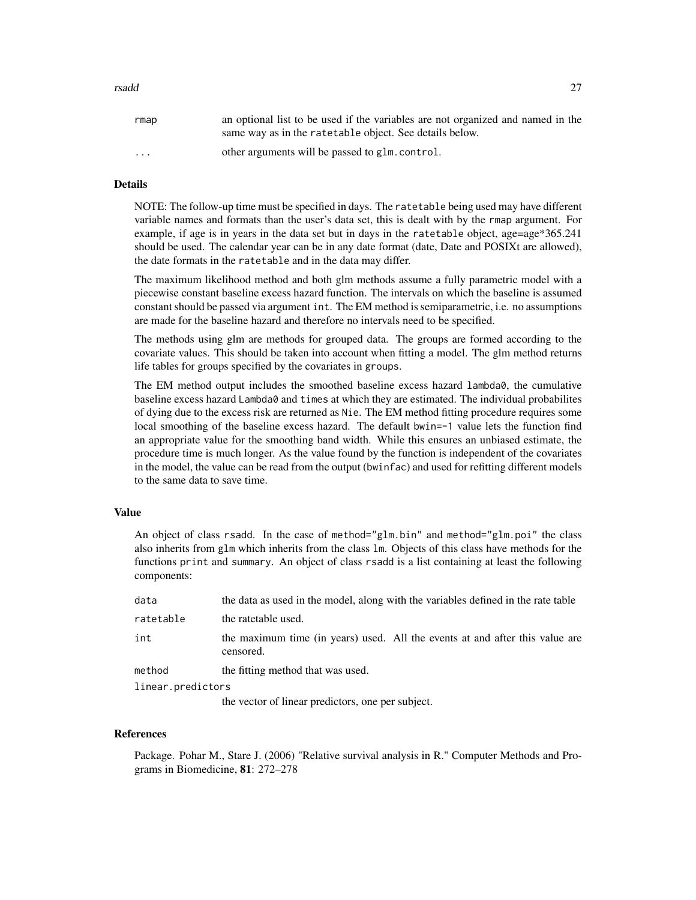#### rsadd 27

| rmap                    | an optional list to be used if the variables are not organized and named in the<br>same way as in the rate table object. See details below. |
|-------------------------|---------------------------------------------------------------------------------------------------------------------------------------------|
| $\cdot$ $\cdot$ $\cdot$ | other arguments will be passed to glm.control.                                                                                              |

#### Details

NOTE: The follow-up time must be specified in days. The ratetable being used may have different variable names and formats than the user's data set, this is dealt with by the rmap argument. For example, if age is in years in the data set but in days in the ratetable object, age=age\*365.241 should be used. The calendar year can be in any date format (date, Date and POSIXt are allowed), the date formats in the ratetable and in the data may differ.

The maximum likelihood method and both glm methods assume a fully parametric model with a piecewise constant baseline excess hazard function. The intervals on which the baseline is assumed constant should be passed via argument int. The EM method is semiparametric, i.e. no assumptions are made for the baseline hazard and therefore no intervals need to be specified.

The methods using glm are methods for grouped data. The groups are formed according to the covariate values. This should be taken into account when fitting a model. The glm method returns life tables for groups specified by the covariates in groups.

The EM method output includes the smoothed baseline excess hazard lambda0, the cumulative baseline excess hazard Lambda0 and times at which they are estimated. The individual probabilites of dying due to the excess risk are returned as Nie. The EM method fitting procedure requires some local smoothing of the baseline excess hazard. The default bwin=-1 value lets the function find an appropriate value for the smoothing band width. While this ensures an unbiased estimate, the procedure time is much longer. As the value found by the function is independent of the covariates in the model, the value can be read from the output (bwinfac) and used for refitting different models to the same data to save time.

#### Value

An object of class rsadd. In the case of method="glm.bin" and method="glm.poi" the class also inherits from glm which inherits from the class lm. Objects of this class have methods for the functions print and summary. An object of class rsadd is a list containing at least the following components:

| data              | the data as used in the model, along with the variables defined in the rate table         |  |  |  |
|-------------------|-------------------------------------------------------------------------------------------|--|--|--|
| ratetable         | the ratetable used.                                                                       |  |  |  |
| int               | the maximum time (in years) used. All the events at and after this value are<br>censored. |  |  |  |
| method            | the fitting method that was used.                                                         |  |  |  |
| linear.predictors |                                                                                           |  |  |  |

the vector of linear predictors, one per subject.

#### References

Package. Pohar M., Stare J. (2006) "Relative survival analysis in R." Computer Methods and Programs in Biomedicine, 81: 272–278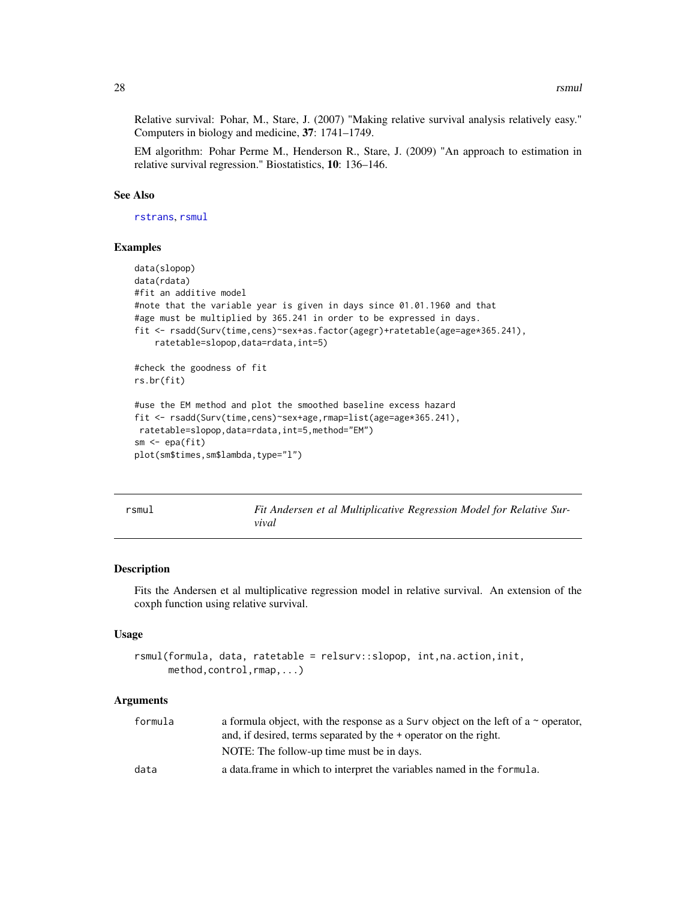<span id="page-27-0"></span>Relative survival: Pohar, M., Stare, J. (2007) "Making relative survival analysis relatively easy." Computers in biology and medicine, 37: 1741–1749.

EM algorithm: Pohar Perme M., Henderson R., Stare, J. (2009) "An approach to estimation in relative survival regression." Biostatistics, 10: 136–146.

#### See Also

[rstrans](#page-29-1), [rsmul](#page-27-1)

#### Examples

```
data(slopop)
data(rdata)
#fit an additive model
#note that the variable year is given in days since 01.01.1960 and that
#age must be multiplied by 365.241 in order to be expressed in days.
fit <- rsadd(Surv(time,cens)~sex+as.factor(agegr)+ratetable(age=age*365.241),
    ratetable=slopop,data=rdata,int=5)
#check the goodness of fit
rs.br(fit)
#use the EM method and plot the smoothed baseline excess hazard
fit <- rsadd(Surv(time,cens)~sex+age,rmap=list(age=age*365.241),
ratetable=slopop,data=rdata,int=5,method="EM")
sm <- epa(fit)
plot(sm$times,sm$lambda,type="l")
```
<span id="page-27-1"></span>

| ×<br><br>٠<br>I |
|-----------------|
|-----------------|

*Fit Andersen et al Multiplicative Regression Model for Relative Survival*

# **Description**

Fits the Andersen et al multiplicative regression model in relative survival. An extension of the coxph function using relative survival.

#### Usage

```
rsmul(formula, data, ratetable = relsurv::slopop, int,na.action,init,
     method,control,rmap,...)
```

| formula | a formula object, with the response as a Surv object on the left of a $\sim$ operator, |  |  |  |  |
|---------|----------------------------------------------------------------------------------------|--|--|--|--|
|         | and, if desired, terms separated by the + operator on the right.                       |  |  |  |  |
|         | NOTE: The follow-up time must be in days.                                              |  |  |  |  |
| data    | a data frame in which to interpret the variables named in the formula.                 |  |  |  |  |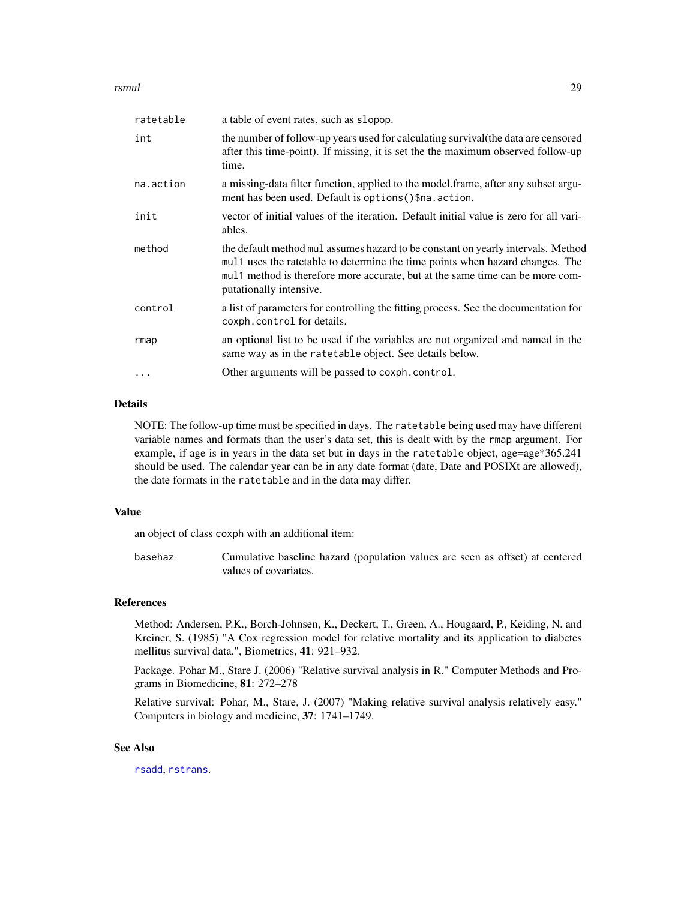#### <span id="page-28-0"></span>rsmul **29**

| ratetable | a table of event rates, such as slopop.                                                                                                                                                                                                                                        |
|-----------|--------------------------------------------------------------------------------------------------------------------------------------------------------------------------------------------------------------------------------------------------------------------------------|
| int       | the number of follow-up years used for calculating survival (the data are censored<br>after this time-point). If missing, it is set the the maximum observed follow-up<br>time.                                                                                                |
| na.action | a missing-data filter function, applied to the model.frame, after any subset argu-<br>ment has been used. Default is options () \$na. action.                                                                                                                                  |
| init      | vector of initial values of the iteration. Default initial value is zero for all vari-<br>ables.                                                                                                                                                                               |
| method    | the default method mul assumes hazard to be constant on yearly intervals. Method<br>mul1 uses the ratetable to determine the time points when hazard changes. The<br>mul 1 method is therefore more accurate, but at the same time can be more com-<br>putationally intensive. |
| control   | a list of parameters for controlling the fitting process. See the documentation for<br>coxph.control for details.                                                                                                                                                              |
| rmap      | an optional list to be used if the variables are not organized and named in the<br>same way as in the ratetable object. See details below.                                                                                                                                     |
| .         | Other arguments will be passed to coxph.control.                                                                                                                                                                                                                               |
|           |                                                                                                                                                                                                                                                                                |

#### Details

NOTE: The follow-up time must be specified in days. The ratetable being used may have different variable names and formats than the user's data set, this is dealt with by the rmap argument. For example, if age is in years in the data set but in days in the ratetable object, age=age\*365.241 should be used. The calendar year can be in any date format (date, Date and POSIXt are allowed), the date formats in the ratetable and in the data may differ.

### Value

an object of class coxph with an additional item:

basehaz Cumulative baseline hazard (population values are seen as offset) at centered values of covariates.

#### References

Method: Andersen, P.K., Borch-Johnsen, K., Deckert, T., Green, A., Hougaard, P., Keiding, N. and Kreiner, S. (1985) "A Cox regression model for relative mortality and its application to diabetes mellitus survival data.", Biometrics, 41: 921–932.

Package. Pohar M., Stare J. (2006) "Relative survival analysis in R." Computer Methods and Programs in Biomedicine, 81: 272–278

Relative survival: Pohar, M., Stare, J. (2007) "Making relative survival analysis relatively easy." Computers in biology and medicine, 37: 1741–1749.

### See Also

[rsadd](#page-25-1), [rstrans](#page-29-1).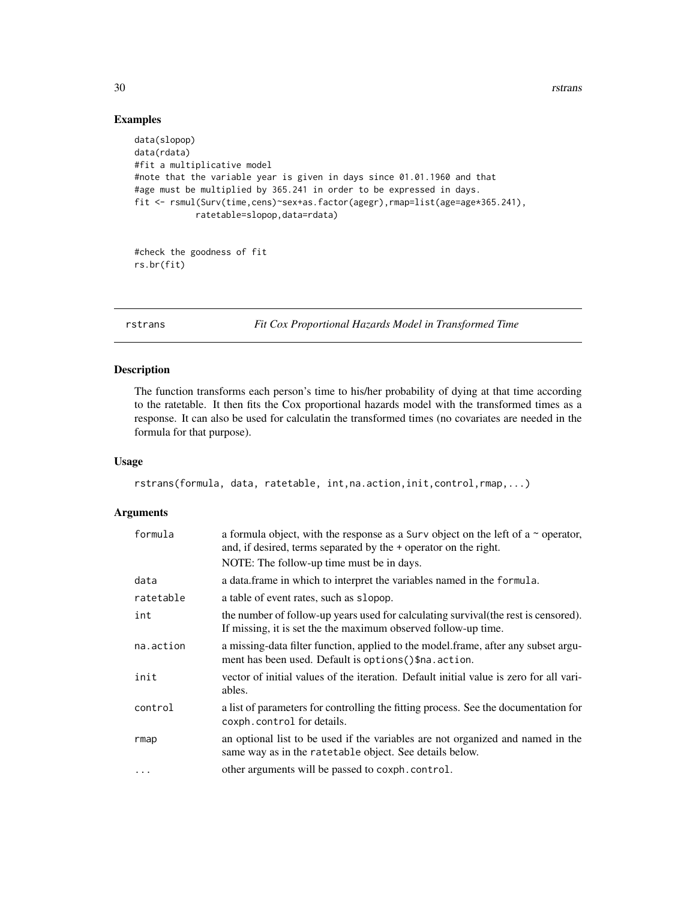30 rstrans

# Examples

```
data(slopop)
data(rdata)
#fit a multiplicative model
#note that the variable year is given in days since 01.01.1960 and that
#age must be multiplied by 365.241 in order to be expressed in days.
fit <- rsmul(Surv(time,cens)~sex+as.factor(agegr),rmap=list(age=age*365.241),
            ratetable=slopop,data=rdata)
```

```
#check the goodness of fit
rs.br(fit)
```
<span id="page-29-1"></span>rstrans *Fit Cox Proportional Hazards Model in Transformed Time*

# Description

The function transforms each person's time to his/her probability of dying at that time according to the ratetable. It then fits the Cox proportional hazards model with the transformed times as a response. It can also be used for calculatin the transformed times (no covariates are needed in the formula for that purpose).

# Usage

```
rstrans(formula, data, ratetable, int,na.action,init,control,rmap,...)
```

| formula   | a formula object, with the response as a Surv object on the left of a $\sim$ operator,<br>and, if desired, terms separated by the + operator on the right. |
|-----------|------------------------------------------------------------------------------------------------------------------------------------------------------------|
|           | NOTE: The follow-up time must be in days.                                                                                                                  |
| data      | a data.frame in which to interpret the variables named in the formula.                                                                                     |
| ratetable | a table of event rates, such as slopop.                                                                                                                    |
| int       | the number of follow-up years used for calculating survival (the rest is censored).<br>If missing, it is set the the maximum observed follow-up time.      |
| na.action | a missing-data filter function, applied to the model.frame, after any subset argu-<br>ment has been used. Default is options () \$na. action.              |
| init      | vector of initial values of the iteration. Default initial value is zero for all vari-<br>ables.                                                           |
| control   | a list of parameters for controlling the fitting process. See the documentation for<br>coxph.control for details.                                          |
| rmap      | an optional list to be used if the variables are not organized and named in the<br>same way as in the rate table object. See details below.                |
| $\cdots$  | other arguments will be passed to coxph.control.                                                                                                           |

<span id="page-29-0"></span>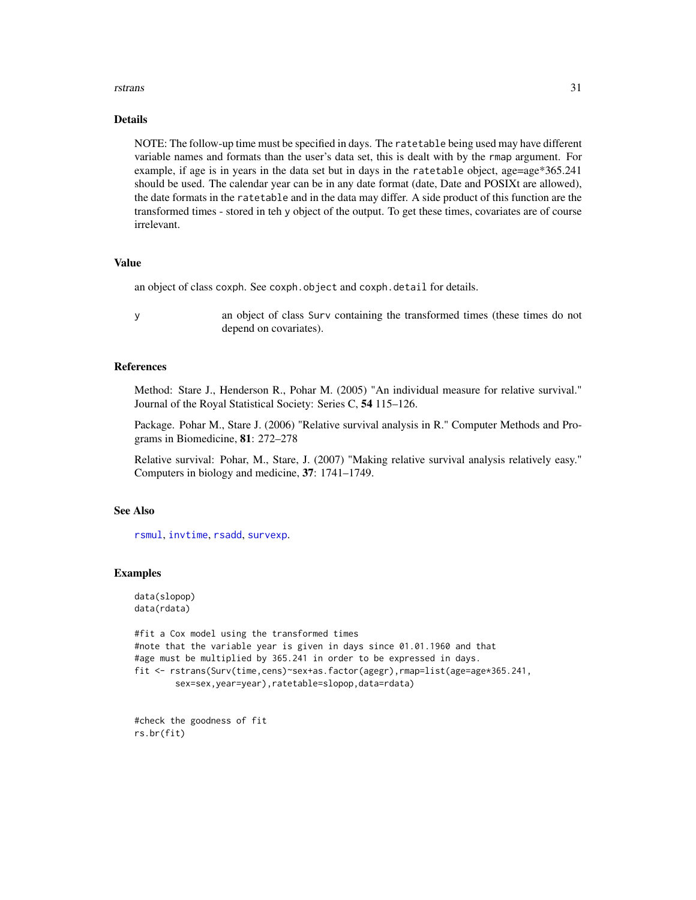#### <span id="page-30-0"></span>rstrans 31

#### Details

NOTE: The follow-up time must be specified in days. The ratetable being used may have different variable names and formats than the user's data set, this is dealt with by the rmap argument. For example, if age is in years in the data set but in days in the ratetable object, age=age\*365.241 should be used. The calendar year can be in any date format (date, Date and POSIXt are allowed), the date formats in the ratetable and in the data may differ. A side product of this function are the transformed times - stored in teh y object of the output. To get these times, covariates are of course irrelevant.

#### Value

an object of class coxph. See coxph.object and coxph.detail for details.

y an object of class Surv containing the transformed times (these times do not depend on covariates).

# References

Method: Stare J., Henderson R., Pohar M. (2005) "An individual measure for relative survival." Journal of the Royal Statistical Society: Series C, 54 115–126.

Package. Pohar M., Stare J. (2006) "Relative survival analysis in R." Computer Methods and Programs in Biomedicine, 81: 272–278

Relative survival: Pohar, M., Stare, J. (2007) "Making relative survival analysis relatively easy." Computers in biology and medicine, 37: 1741–1749.

#### See Also

[rsmul](#page-27-1), [invtime](#page-6-1), [rsadd](#page-25-1), [survexp](#page-0-0).

#### Examples

```
data(slopop)
data(rdata)
```
#fit a Cox model using the transformed times #note that the variable year is given in days since 01.01.1960 and that #age must be multiplied by 365.241 in order to be expressed in days. fit <- rstrans(Surv(time,cens)~sex+as.factor(agegr),rmap=list(age=age\*365.241, sex=sex,year=year),ratetable=slopop,data=rdata)

```
#check the goodness of fit
rs.br(fit)
```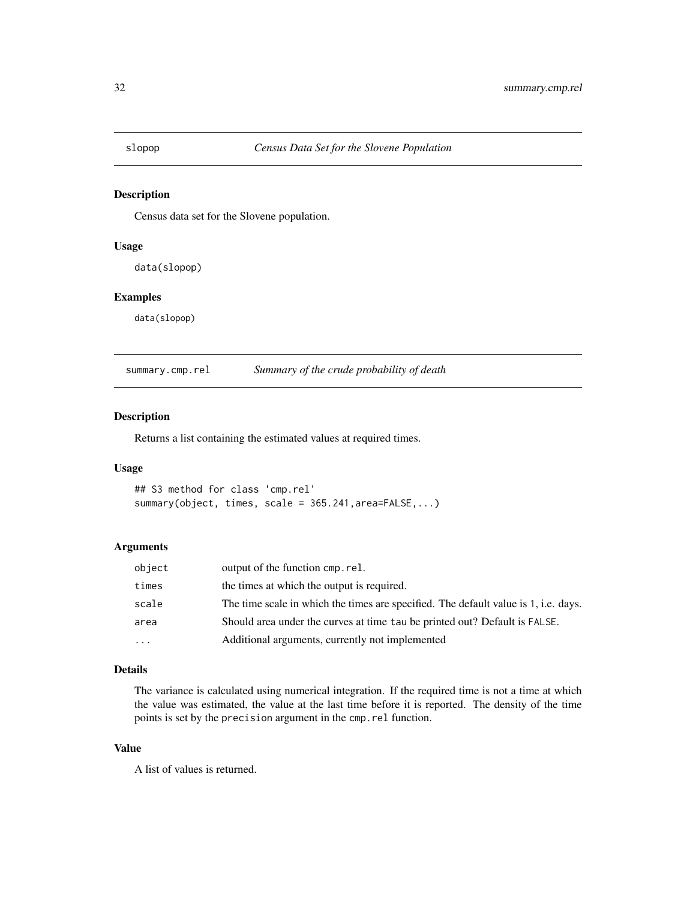<span id="page-31-0"></span>

# Description

Census data set for the Slovene population.

#### Usage

data(slopop)

# Examples

data(slopop)

summary.cmp.rel *Summary of the crude probability of death*

#### Description

Returns a list containing the estimated values at required times.

#### Usage

```
## S3 method for class 'cmp.rel'
summary(object, times, scale = 365.241,area=FALSE,...)
```
#### Arguments

| object   | output of the function cmp.rel.                                                     |
|----------|-------------------------------------------------------------------------------------|
| times    | the times at which the output is required.                                          |
| scale    | The time scale in which the times are specified. The default value is 1, i.e. days. |
| area     | Should area under the curves at time tau be printed out? Default is FALSE.          |
| $\ddots$ | Additional arguments, currently not implemented                                     |

# Details

The variance is calculated using numerical integration. If the required time is not a time at which the value was estimated, the value at the last time before it is reported. The density of the time points is set by the precision argument in the cmp.rel function.

# Value

A list of values is returned.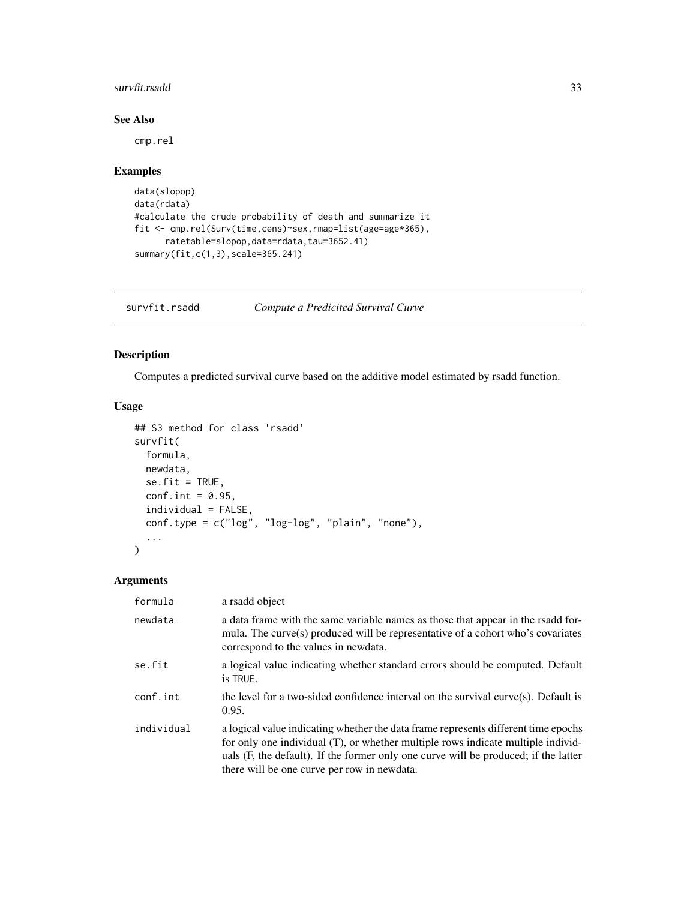### <span id="page-32-0"></span>survfit.rsadd 33

# See Also

cmp.rel

# Examples

```
data(slopop)
data(rdata)
#calculate the crude probability of death and summarize it
fit <- cmp.rel(Surv(time,cens)~sex,rmap=list(age=age*365),
      ratetable=slopop,data=rdata,tau=3652.41)
summary(fit,c(1,3),scale=365.241)
```
survfit.rsadd *Compute a Predicited Survival Curve*

# Description

Computes a predicted survival curve based on the additive model estimated by rsadd function.

# Usage

```
## S3 method for class 'rsadd'
survfit(
  formula,
 newdata,
 se.fit = TRUE,conf.int = 0.95,
  individual = FALSE,
  conf.type = c("log", "log-log", "plain", "none"),
  ...
\mathcal{L}
```

| formula    | a rsadd object                                                                                                                                                                                                                                                                                               |
|------------|--------------------------------------------------------------------------------------------------------------------------------------------------------------------------------------------------------------------------------------------------------------------------------------------------------------|
| newdata    | a data frame with the same variable names as those that appear in the rsadd for-<br>mula. The curve(s) produced will be representative of a cohort who's covariates<br>correspond to the values in newdata.                                                                                                  |
| se.fit     | a logical value indicating whether standard errors should be computed. Default<br>is TRUE.                                                                                                                                                                                                                   |
| conf.int   | the level for a two-sided confidence interval on the survival curve $(s)$ . Default is<br>0.95.                                                                                                                                                                                                              |
| individual | a logical value indicating whether the data frame represents different time epochs<br>for only one individual (T), or whether multiple rows indicate multiple individ-<br>uals (F, the default). If the former only one curve will be produced; if the latter<br>there will be one curve per row in newdata. |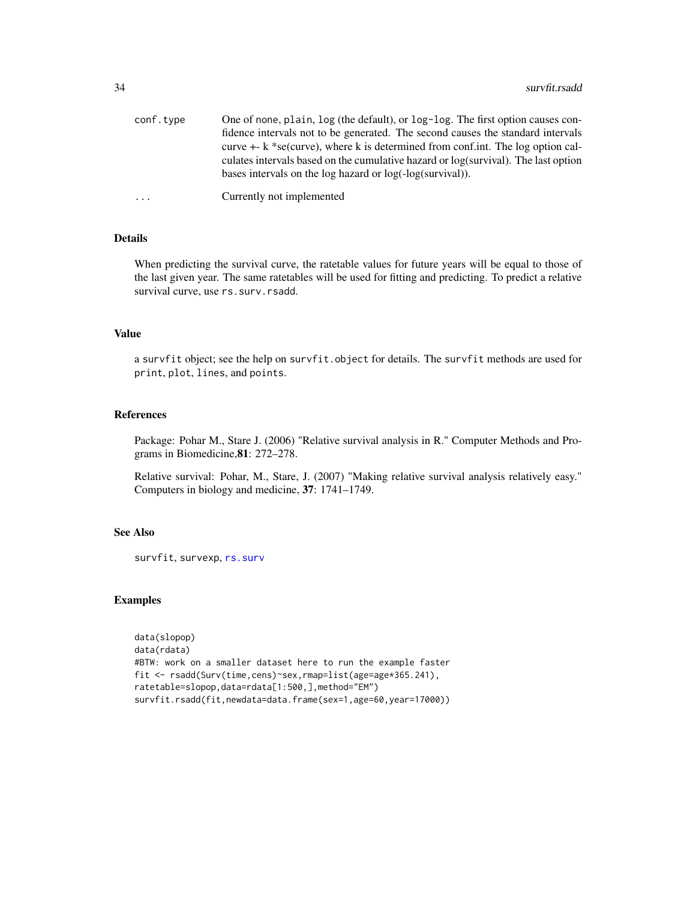<span id="page-33-0"></span>

| conf.type | One of none, plain, log (the default), or log-log. The first option causes con-       |
|-----------|---------------------------------------------------------------------------------------|
|           | fidence intervals not to be generated. The second causes the standard intervals       |
|           | curve $+$ - k $*$ se(curve), where k is determined from conf.int. The log option cal- |
|           | culates intervals based on the cumulative hazard or log(survival). The last option    |
|           | bases intervals on the log hazard or $log(-log(survival))$ .                          |
| $\ddots$  | Currently not implemented                                                             |

# Details

When predicting the survival curve, the ratetable values for future years will be equal to those of the last given year. The same ratetables will be used for fitting and predicting. To predict a relative survival curve, use rs.surv.rsadd.

#### Value

a survfit object; see the help on survfit.object for details. The survfit methods are used for print, plot, lines, and points.

#### References

Package: Pohar M., Stare J. (2006) "Relative survival analysis in R." Computer Methods and Programs in Biomedicine,81: 272–278.

Relative survival: Pohar, M., Stare, J. (2007) "Making relative survival analysis relatively easy." Computers in biology and medicine, 37: 1741–1749.

#### See Also

survfit, survexp, [rs.surv](#page-20-1)

# Examples

```
data(slopop)
data(rdata)
#BTW: work on a smaller dataset here to run the example faster
fit <- rsadd(Surv(time,cens)~sex,rmap=list(age=age*365.241),
ratetable=slopop,data=rdata[1:500,],method="EM")
survfit.rsadd(fit,newdata=data.frame(sex=1,age=60,year=17000))
```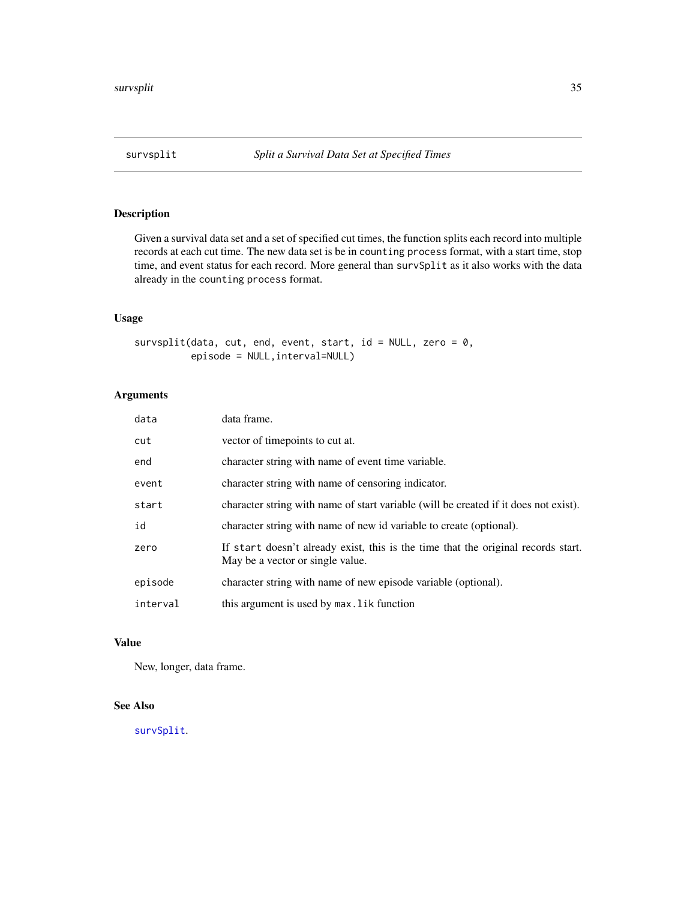<span id="page-34-0"></span>

# Description

Given a survival data set and a set of specified cut times, the function splits each record into multiple records at each cut time. The new data set is be in counting process format, with a start time, stop time, and event status for each record. More general than survSplit as it also works with the data already in the counting process format.

#### Usage

survsplit(data, cut, end, event, start, id = NULL, zero = 0, episode = NULL,interval=NULL)

# Arguments

| data     | data frame.                                                                                                           |
|----------|-----------------------------------------------------------------------------------------------------------------------|
| cut      | vector of timepoints to cut at.                                                                                       |
| end      | character string with name of event time variable.                                                                    |
| event    | character string with name of censoring indicator.                                                                    |
| start    | character string with name of start variable (will be created if it does not exist).                                  |
| id       | character string with name of new id variable to create (optional).                                                   |
| zero     | If start doesn't already exist, this is the time that the original records start.<br>May be a vector or single value. |
| episode  | character string with name of new episode variable (optional).                                                        |
| interval | this argument is used by max. Lik function                                                                            |

#### Value

New, longer, data frame.

# See Also

[survSplit](#page-0-0).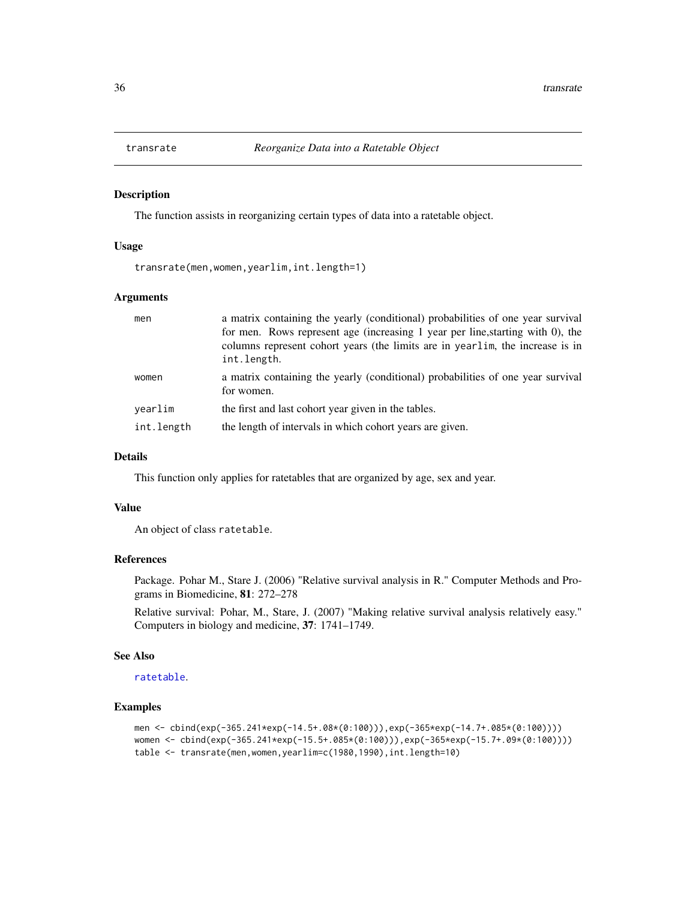<span id="page-35-1"></span><span id="page-35-0"></span>

#### Description

The function assists in reorganizing certain types of data into a ratetable object.

#### Usage

transrate(men,women,yearlim,int.length=1)

#### Arguments

| men        | a matrix containing the yearly (conditional) probabilities of one year survival<br>for men. Rows represent age (increasing 1 year per line, starting with 0), the<br>columns represent cohort years (the limits are in yearlim, the increase is in<br>int.length. |
|------------|-------------------------------------------------------------------------------------------------------------------------------------------------------------------------------------------------------------------------------------------------------------------|
| women      | a matrix containing the yearly (conditional) probabilities of one year survival<br>for women.                                                                                                                                                                     |
| vearlim    | the first and last cohort year given in the tables.                                                                                                                                                                                                               |
| int.length | the length of intervals in which cohort years are given.                                                                                                                                                                                                          |

# Details

This function only applies for ratetables that are organized by age, sex and year.

# Value

An object of class ratetable.

# References

Package. Pohar M., Stare J. (2006) "Relative survival analysis in R." Computer Methods and Programs in Biomedicine, 81: 272–278

Relative survival: Pohar, M., Stare, J. (2007) "Making relative survival analysis relatively easy." Computers in biology and medicine, 37: 1741–1749.

# See Also

[ratetable](#page-0-0).

# Examples

```
men <- cbind(exp(-365.241*exp(-14.5+.08*(0:100))),exp(-365*exp(-14.7+.085*(0:100))))
women <- cbind(exp(-365.241*exp(-15.5+.085*(0:100))),exp(-365*exp(-15.7+.09*(0:100))))
table <- transrate(men,women,yearlim=c(1980,1990),int.length=10)
```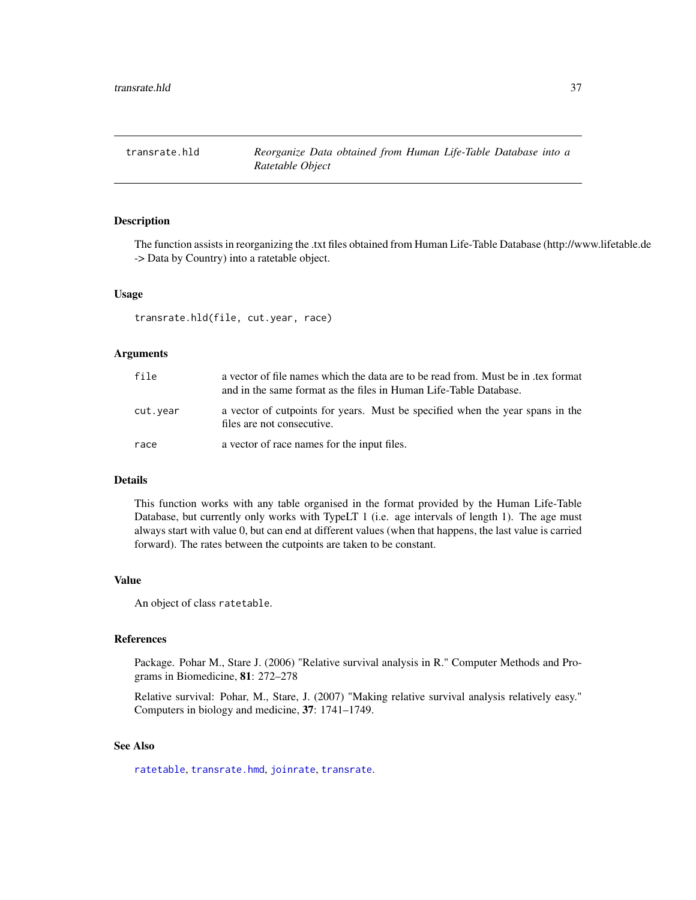<span id="page-36-1"></span><span id="page-36-0"></span>transrate.hld *Reorganize Data obtained from Human Life-Table Database into a Ratetable Object*

#### Description

The function assists in reorganizing the .txt files obtained from Human Life-Table Database (http://www.lifetable.de -> Data by Country) into a ratetable object.

#### Usage

transrate.hld(file, cut.year, race)

#### Arguments

| file     | a vector of file names which the data are to be read from. Must be in tex format<br>and in the same format as the files in Human Life-Table Database. |  |
|----------|-------------------------------------------------------------------------------------------------------------------------------------------------------|--|
| cut.year | a vector of cutpoints for years. Must be specified when the year spans in the<br>files are not consecutive.                                           |  |
| race     | a vector of race names for the input files.                                                                                                           |  |

#### Details

This function works with any table organised in the format provided by the Human Life-Table Database, but currently only works with TypeLT 1 (i.e. age intervals of length 1). The age must always start with value 0, but can end at different values (when that happens, the last value is carried forward). The rates between the cutpoints are taken to be constant.

### Value

An object of class ratetable.

#### References

Package. Pohar M., Stare J. (2006) "Relative survival analysis in R." Computer Methods and Programs in Biomedicine, 81: 272–278

Relative survival: Pohar, M., Stare, J. (2007) "Making relative survival analysis relatively easy." Computers in biology and medicine, 37: 1741–1749.

#### See Also

[ratetable](#page-0-0), [transrate.hmd](#page-37-1), [joinrate](#page-7-1), [transrate](#page-35-1).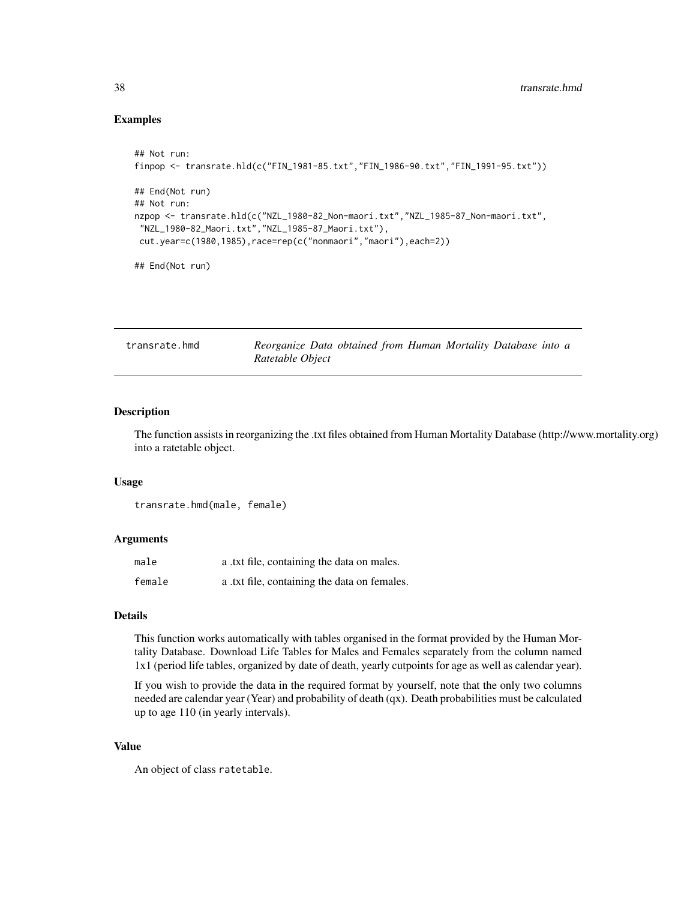#### Examples

```
## Not run:
finpop <- transrate.hld(c("FIN_1981-85.txt","FIN_1986-90.txt","FIN_1991-95.txt"))
## End(Not run)
## Not run:
nzpop <- transrate.hld(c("NZL_1980-82_Non-maori.txt","NZL_1985-87_Non-maori.txt",
"NZL_1980-82_Maori.txt","NZL_1985-87_Maori.txt"),
cut.year=c(1980,1985),race=rep(c("nonmaori","maori"),each=2))
```
## End(Not run)

<span id="page-37-1"></span>

| transrate.hmd | Reorganize Data obtained from Human Mortality Database into a |  |  |  |
|---------------|---------------------------------------------------------------|--|--|--|
|               | Ratetable Object                                              |  |  |  |

# Description

The function assists in reorganizing the .txt files obtained from Human Mortality Database (http://www.mortality.org) into a ratetable object.

#### Usage

```
transrate.hmd(male, female)
```
#### Arguments

| male   | a .txt file, containing the data on males.   |
|--------|----------------------------------------------|
| female | a .txt file, containing the data on females. |

#### Details

This function works automatically with tables organised in the format provided by the Human Mortality Database. Download Life Tables for Males and Females separately from the column named 1x1 (period life tables, organized by date of death, yearly cutpoints for age as well as calendar year).

If you wish to provide the data in the required format by yourself, note that the only two columns needed are calendar year (Year) and probability of death (qx). Death probabilities must be calculated up to age 110 (in yearly intervals).

#### Value

An object of class ratetable.

<span id="page-37-0"></span>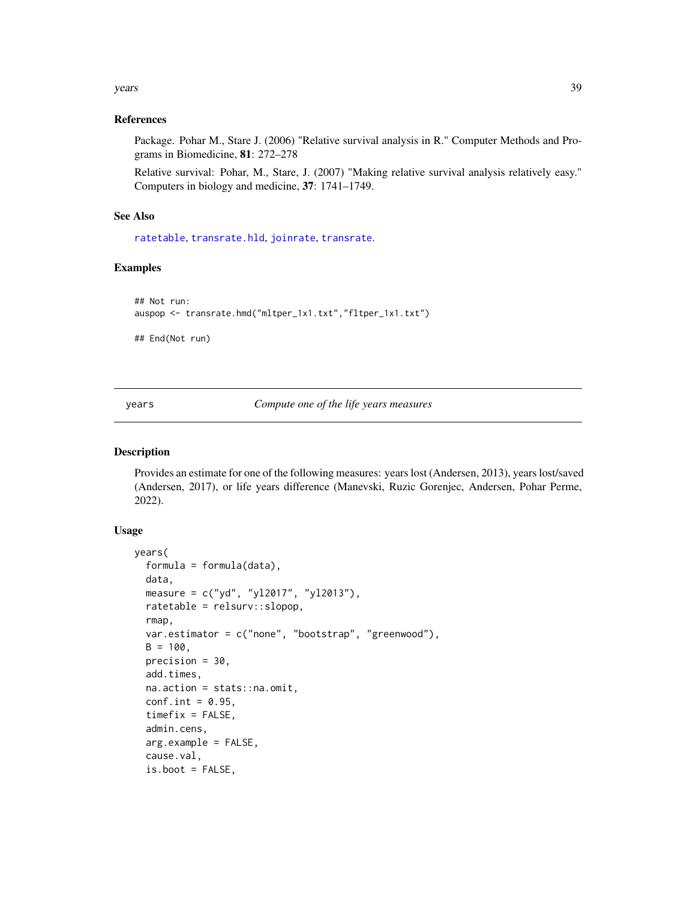#### <span id="page-38-0"></span>years 39

#### References

Package. Pohar M., Stare J. (2006) "Relative survival analysis in R." Computer Methods and Programs in Biomedicine, 81: 272–278

Relative survival: Pohar, M., Stare, J. (2007) "Making relative survival analysis relatively easy." Computers in biology and medicine, 37: 1741–1749.

#### See Also

[ratetable](#page-0-0), [transrate.hld](#page-36-1), [joinrate](#page-7-1), [transrate](#page-35-1).

# Examples

```
## Not run:
auspop <- transrate.hmd("mltper_1x1.txt","fltper_1x1.txt")
```
## End(Not run)

years *Compute one of the life years measures*

#### Description

Provides an estimate for one of the following measures: years lost (Andersen, 2013), years lost/saved (Andersen, 2017), or life years difference (Manevski, Ruzic Gorenjec, Andersen, Pohar Perme, 2022).

#### Usage

```
years(
  formula = formula(data),
  data,
  measure = c("yd", "yl2017", "yl2013"),
  ratetable = relsurv::slopop,
  rmap,
  var.estimator = c("none", "bootstrap", "greenwood"),
  B = 100,
  precision = 30,
  add.times,
  na.action = stats::na.omit,
  conf.int = 0.95,
  timefix = FALSE,admin.cens,
  arg.example = FALSE,
  cause.val,
  is.boot = FALSE,
```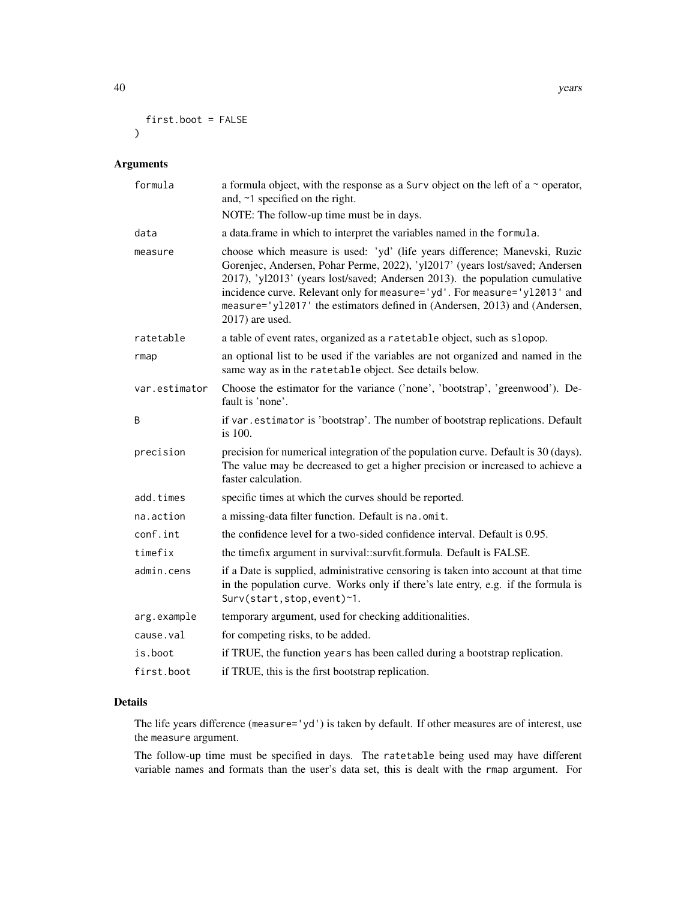40 years and the set of the set of the set of the set of the set of the set of the set of the set of the set of the set of the set of the set of the set of the set of the set of the set of the set of the set of the set of

```
first.boot = FALSE
\mathcal{L}
```
#### Arguments

| formula       | a formula object, with the response as a Surv object on the left of a $\sim$ operator,<br>and, ~1 specified on the right.                                                                                                                                                                                                                                                                                                |
|---------------|--------------------------------------------------------------------------------------------------------------------------------------------------------------------------------------------------------------------------------------------------------------------------------------------------------------------------------------------------------------------------------------------------------------------------|
|               | NOTE: The follow-up time must be in days.                                                                                                                                                                                                                                                                                                                                                                                |
| data          | a data.frame in which to interpret the variables named in the formula.                                                                                                                                                                                                                                                                                                                                                   |
| measure       | choose which measure is used: 'yd' (life years difference; Manevski, Ruzic<br>Gorenjec, Andersen, Pohar Perme, 2022), 'yl2017' (years lost/saved; Andersen<br>2017), 'yl2013' (years lost/saved; Andersen 2013). the population cumulative<br>incidence curve. Relevant only for measure='yd'. For measure='y12013' and<br>measure='y12017' the estimators defined in (Andersen, 2013) and (Andersen,<br>2017) are used. |
| ratetable     | a table of event rates, organized as a ratetable object, such as slopop.                                                                                                                                                                                                                                                                                                                                                 |
| rmap          | an optional list to be used if the variables are not organized and named in the<br>same way as in the ratetable object. See details below.                                                                                                                                                                                                                                                                               |
| var.estimator | Choose the estimator for the variance ('none', 'bootstrap', 'greenwood'). De-<br>fault is 'none'.                                                                                                                                                                                                                                                                                                                        |
| B             | if var. estimator is 'bootstrap'. The number of bootstrap replications. Default<br>is 100.                                                                                                                                                                                                                                                                                                                               |
| precision     | precision for numerical integration of the population curve. Default is 30 (days).<br>The value may be decreased to get a higher precision or increased to achieve a<br>faster calculation.                                                                                                                                                                                                                              |
| add.times     | specific times at which the curves should be reported.                                                                                                                                                                                                                                                                                                                                                                   |
| na.action     | a missing-data filter function. Default is na.omit.                                                                                                                                                                                                                                                                                                                                                                      |
| conf.int      | the confidence level for a two-sided confidence interval. Default is 0.95.                                                                                                                                                                                                                                                                                                                                               |
| timefix       | the timefix argument in survival::survfit.formula. Default is FALSE.                                                                                                                                                                                                                                                                                                                                                     |
| admin.cens    | if a Date is supplied, administrative censoring is taken into account at that time<br>in the population curve. Works only if there's late entry, e.g. if the formula is<br>Surv(start, stop, event)~1.                                                                                                                                                                                                                   |
| arg.example   | temporary argument, used for checking additionalities.                                                                                                                                                                                                                                                                                                                                                                   |
| cause.val     | for competing risks, to be added.                                                                                                                                                                                                                                                                                                                                                                                        |
| is.boot       | if TRUE, the function years has been called during a bootstrap replication.                                                                                                                                                                                                                                                                                                                                              |
| first.boot    | if TRUE, this is the first bootstrap replication.                                                                                                                                                                                                                                                                                                                                                                        |

# Details

The life years difference (measure='yd') is taken by default. If other measures are of interest, use the measure argument.

The follow-up time must be specified in days. The ratetable being used may have different variable names and formats than the user's data set, this is dealt with the rmap argument. For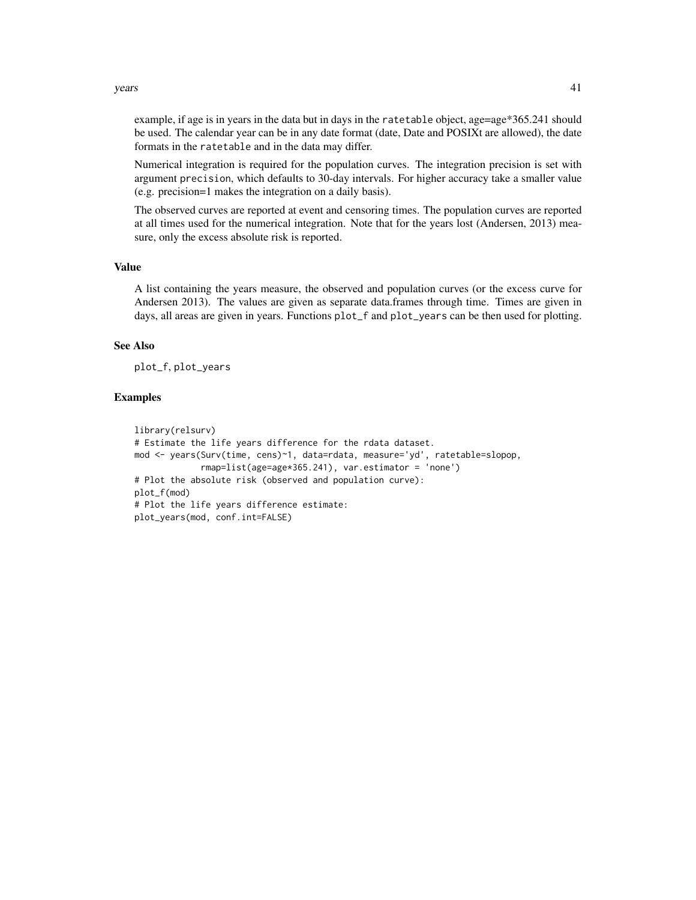#### $years$  41

example, if age is in years in the data but in days in the ratetable object, age=age\*365.241 should be used. The calendar year can be in any date format (date, Date and POSIXt are allowed), the date formats in the ratetable and in the data may differ.

Numerical integration is required for the population curves. The integration precision is set with argument precision, which defaults to 30-day intervals. For higher accuracy take a smaller value (e.g. precision=1 makes the integration on a daily basis).

The observed curves are reported at event and censoring times. The population curves are reported at all times used for the numerical integration. Note that for the years lost (Andersen, 2013) measure, only the excess absolute risk is reported.

#### Value

A list containing the years measure, the observed and population curves (or the excess curve for Andersen 2013). The values are given as separate data.frames through time. Times are given in days, all areas are given in years. Functions plot\_f and plot\_years can be then used for plotting.

# See Also

plot\_f, plot\_years

#### Examples

```
library(relsurv)
# Estimate the life years difference for the rdata dataset.
mod <- years(Surv(time, cens)~1, data=rdata, measure='yd', ratetable=slopop,
             rmap=list(age=age*365.241), var.estimator = 'none')
# Plot the absolute risk (observed and population curve):
plot_f(mod)
# Plot the life years difference estimate:
plot_years(mod, conf.int=FALSE)
```